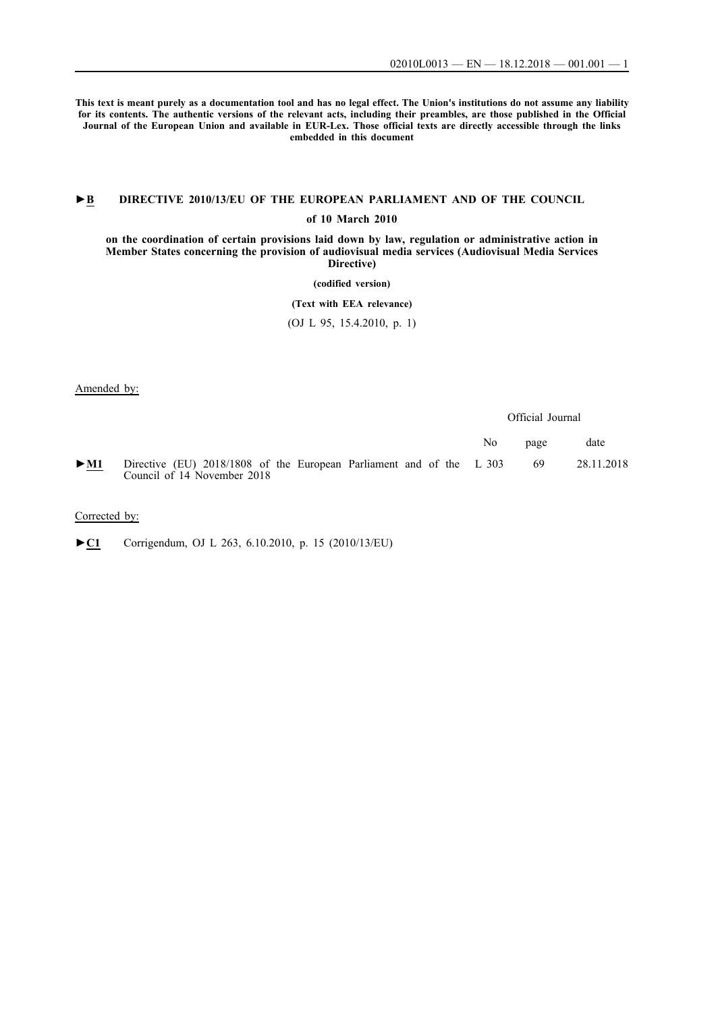**This text is meant purely as a documentation tool and has no legal effect. The Union's institutions do not assume any liability for its contents. The authentic versions of the relevant acts, including their preambles, are those published in the Official Journal of the European Union and available in EUR-Lex. Those official texts are directly accessible through the links embedded in this document**

# **►B [DIRECTIVE 2010/13/EU OF THE EUROPEAN PARLIAMENT AND OF THE COUNCIL](http://data.europa.eu/eli/dir/2010/13/oj/eng)**

### **[of 10 March 2010](http://data.europa.eu/eli/dir/2010/13/oj/eng)**

**[on the coordination of certain provisions laid down by law, regulation or administrative action in](http://data.europa.eu/eli/dir/2010/13/oj/eng) [Member States concerning the provision of audiovisual media services \(Audiovisual Media Services](http://data.europa.eu/eli/dir/2010/13/oj/eng) [Directive\)](http://data.europa.eu/eli/dir/2010/13/oj/eng)**

**[\(codified version\)](http://data.europa.eu/eli/dir/2010/13/oj/eng)**

**[\(Text with EEA relevance\)](http://data.europa.eu/eli/dir/2010/13/oj/eng)**

[\(OJ L 95, 15.4.2010, p. 1\)](http://data.europa.eu/eli/dir/2010/13/oj/eng)

Amended by:

Official Journal No page date [►](http://data.europa.eu/eli/dir/2018/1808/oj/eng)**[M1](http://data.europa.eu/eli/dir/2018/1808/oj/eng)** [Directive \(EU\) 2018/1808 of the European Parliament and of the](http://data.europa.eu/eli/dir/2018/1808/oj/eng) [Council of 14 November 2018](http://data.europa.eu/eli/dir/2018/1808/oj/eng) [L 303 69 28.11.2018](http://data.europa.eu/eli/dir/2018/1808/oj/eng)

#### Corrected by:

[►](http://data.europa.eu/eli/dir/2010/13/corrigendum/2010-10-06/oj/eng)**[C1](http://data.europa.eu/eli/dir/2010/13/corrigendum/2010-10-06/oj/eng)** [Corrigendum, OJ L 263, 6.10.2010, p. 15 \(2010/13/EU\)](http://data.europa.eu/eli/dir/2010/13/corrigendum/2010-10-06/oj/eng)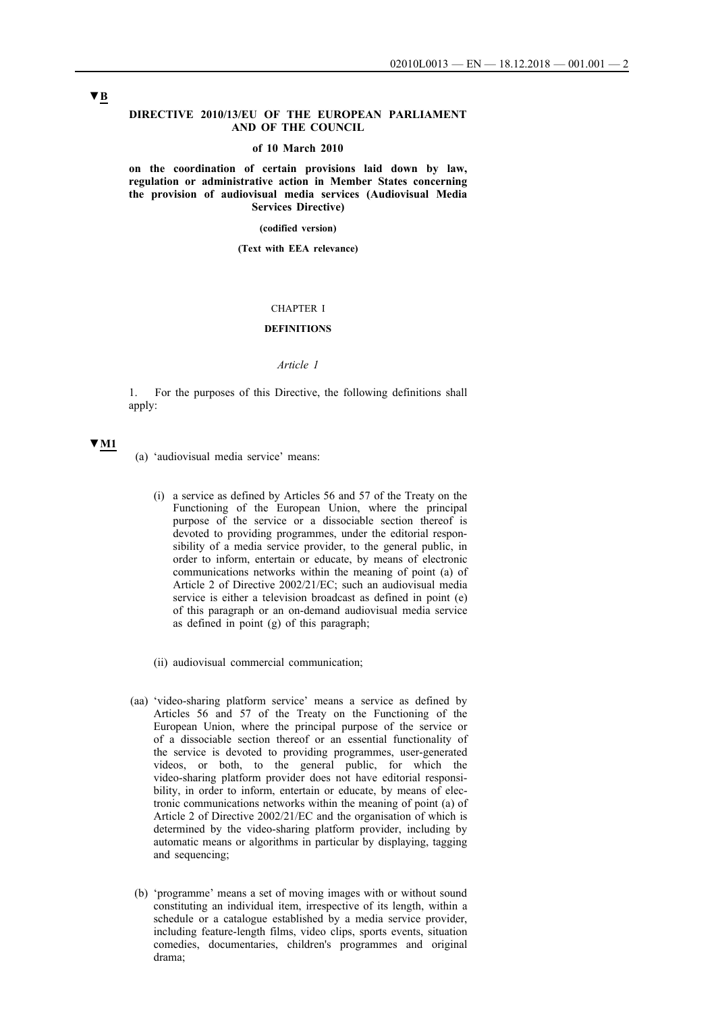#### **DIRECTIVE 2010/13/EU OF THE EUROPEAN PARLIAMENT AND OF THE COUNCIL**

#### **of 10 March 2010**

**on the coordination of certain provisions laid down by law, regulation or administrative action in Member States concerning the provision of audiovisual media services (Audiovisual Media Services Directive)**

#### **(codified version)**

#### **(Text with EEA relevance)**

#### CHAPTER I

#### **DEFINITIONS**

## *Article 1*

1. For the purposes of this Directive, the following definitions shall apply:

## **▼M1**

(a) 'audiovisual media service' means:

- (i) a service as defined by Articles 56 and 57 of the Treaty on the Functioning of the European Union, where the principal purpose of the service or a dissociable section thereof is devoted to providing programmes, under the editorial responsibility of a media service provider, to the general public, in order to inform, entertain or educate, by means of electronic communications networks within the meaning of point (a) of Article 2 of Directive 2002/21/EC; such an audiovisual media service is either a television broadcast as defined in point (e) of this paragraph or an on-demand audiovisual media service as defined in point (g) of this paragraph;
- (ii) audiovisual commercial communication;
- (aa) 'video-sharing platform service' means a service as defined by Articles 56 and 57 of the Treaty on the Functioning of the European Union, where the principal purpose of the service or of a dissociable section thereof or an essential functionality of the service is devoted to providing programmes, user-generated videos, or both, to the general public, for which the video-sharing platform provider does not have editorial responsibility, in order to inform, entertain or educate, by means of electronic communications networks within the meaning of point (a) of Article 2 of Directive 2002/21/EC and the organisation of which is determined by the video-sharing platform provider, including by automatic means or algorithms in particular by displaying, tagging and sequencing;
- (b) 'programme' means a set of moving images with or without sound constituting an individual item, irrespective of its length, within a schedule or a catalogue established by a media service provider, including feature-length films, video clips, sports events, situation comedies, documentaries, children's programmes and original drama;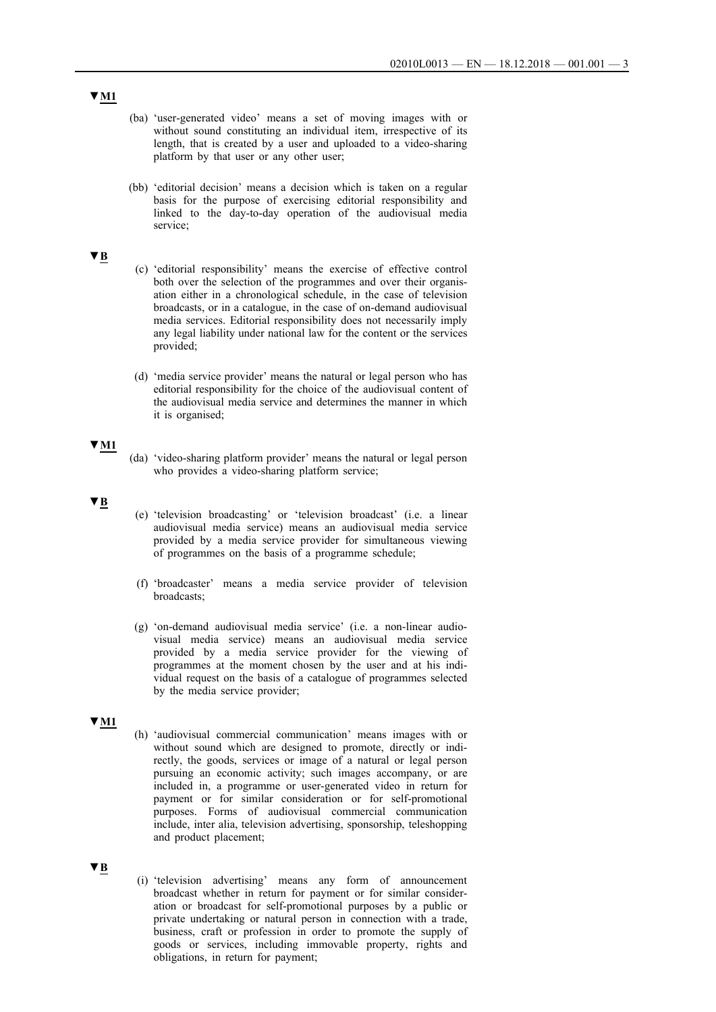- (ba) 'user-generated video' means a set of moving images with or without sound constituting an individual item, irrespective of its length, that is created by a user and uploaded to a video-sharing platform by that user or any other user;
- (bb) 'editorial decision' means a decision which is taken on a regular basis for the purpose of exercising editorial responsibility and linked to the day-to-day operation of the audiovisual media service;

### **▼B**

- (c) 'editorial responsibility' means the exercise of effective control both over the selection of the programmes and over their organisation either in a chronological schedule, in the case of television broadcasts, or in a catalogue, in the case of on-demand audiovisual media services. Editorial responsibility does not necessarily imply any legal liability under national law for the content or the services provided;
- (d) 'media service provider' means the natural or legal person who has editorial responsibility for the choice of the audiovisual content of the audiovisual media service and determines the manner in which it is organised;

#### **▼M1**

(da) 'video-sharing platform provider' means the natural or legal person who provides a video-sharing platform service;

#### **▼B**

- (e) 'television broadcasting' or 'television broadcast' (i.e. a linear audiovisual media service) means an audiovisual media service provided by a media service provider for simultaneous viewing of programmes on the basis of a programme schedule;
- (f) 'broadcaster' means a media service provider of television broadcasts;
- (g) 'on-demand audiovisual media service' (i.e. a non-linear audiovisual media service) means an audiovisual media service provided by a media service provider for the viewing of programmes at the moment chosen by the user and at his individual request on the basis of a catalogue of programmes selected by the media service provider;

## **▼M1**

(h) 'audiovisual commercial communication' means images with or without sound which are designed to promote, directly or indirectly, the goods, services or image of a natural or legal person pursuing an economic activity; such images accompany, or are included in, a programme or user-generated video in return for payment or for similar consideration or for self-promotional purposes. Forms of audiovisual commercial communication include, inter alia, television advertising, sponsorship, teleshopping and product placement;

### **▼B**

(i) 'television advertising' means any form of announcement broadcast whether in return for payment or for similar consideration or broadcast for self-promotional purposes by a public or private undertaking or natural person in connection with a trade, business, craft or profession in order to promote the supply of goods or services, including immovable property, rights and obligations, in return for payment;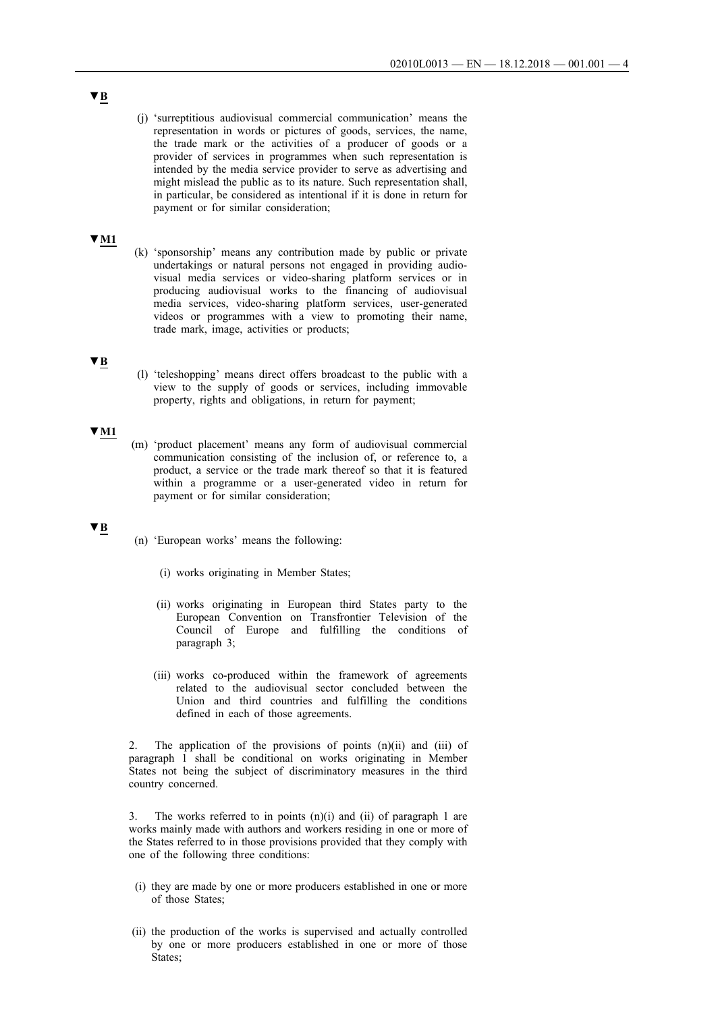(j) 'surreptitious audiovisual commercial communication' means the representation in words or pictures of goods, services, the name, the trade mark or the activities of a producer of goods or a provider of services in programmes when such representation is intended by the media service provider to serve as advertising and might mislead the public as to its nature. Such representation shall, in particular, be considered as intentional if it is done in return for payment or for similar consideration;

### **▼M1**

(k) 'sponsorship' means any contribution made by public or private undertakings or natural persons not engaged in providing audiovisual media services or video-sharing platform services or in producing audiovisual works to the financing of audiovisual media services, video-sharing platform services, user-generated videos or programmes with a view to promoting their name, trade mark, image, activities or products;

# **▼B**

(l) 'teleshopping' means direct offers broadcast to the public with a view to the supply of goods or services, including immovable property, rights and obligations, in return for payment;

#### **▼M1**

(m) 'product placement' means any form of audiovisual commercial communication consisting of the inclusion of, or reference to, a product, a service or the trade mark thereof so that it is featured within a programme or a user-generated video in return for payment or for similar consideration;

# **▼B**

- (n) 'European works' means the following:
	- (i) works originating in Member States;
	- (ii) works originating in European third States party to the European Convention on Transfrontier Television of the Council of Europe and fulfilling the conditions of paragraph 3;
	- (iii) works co-produced within the framework of agreements related to the audiovisual sector concluded between the Union and third countries and fulfilling the conditions defined in each of those agreements.

The application of the provisions of points  $(n)(ii)$  and  $(iii)$  of paragraph 1 shall be conditional on works originating in Member States not being the subject of discriminatory measures in the third country concerned.

3. The works referred to in points  $(n)(i)$  and  $(ii)$  of paragraph 1 are works mainly made with authors and workers residing in one or more of the States referred to in those provisions provided that they comply with one of the following three conditions:

- (i) they are made by one or more producers established in one or more of those States;
- (ii) the production of the works is supervised and actually controlled by one or more producers established in one or more of those States;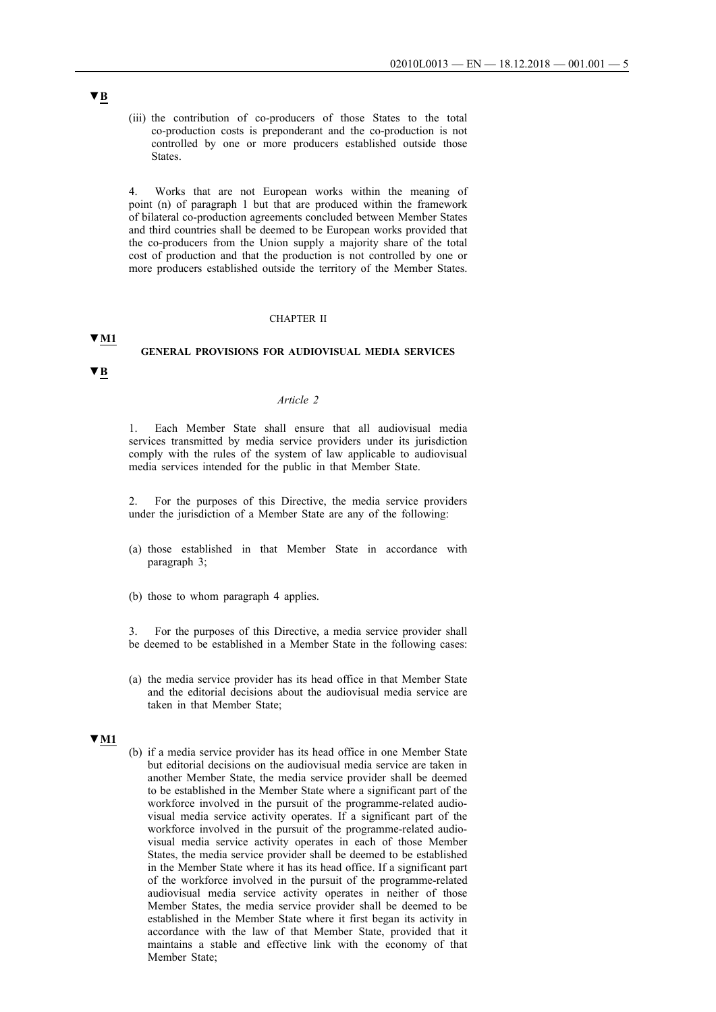(iii) the contribution of co-producers of those States to the total co-production costs is preponderant and the co-production is not controlled by one or more producers established outside those States.

4. Works that are not European works within the meaning of point (n) of paragraph 1 but that are produced within the framework of bilateral co-production agreements concluded between Member States and third countries shall be deemed to be European works provided that the co-producers from the Union supply a majority share of the total cost of production and that the production is not controlled by one or more producers established outside the territory of the Member States.

#### CHAPTER II

## **GENERAL PROVISIONS FOR AUDIOVISUAL MEDIA SERVICES**

**▼B**

**▼M1**

## *Article 2*

1. Each Member State shall ensure that all audiovisual media services transmitted by media service providers under its jurisdiction comply with the rules of the system of law applicable to audiovisual media services intended for the public in that Member State.

2. For the purposes of this Directive, the media service providers under the jurisdiction of a Member State are any of the following:

- (a) those established in that Member State in accordance with paragraph 3;
- (b) those to whom paragraph 4 applies.

3. For the purposes of this Directive, a media service provider shall be deemed to be established in a Member State in the following cases:

(a) the media service provider has its head office in that Member State and the editorial decisions about the audiovisual media service are taken in that Member State;

# **▼M1**

(b) if a media service provider has its head office in one Member State but editorial decisions on the audiovisual media service are taken in another Member State, the media service provider shall be deemed to be established in the Member State where a significant part of the workforce involved in the pursuit of the programme-related audiovisual media service activity operates. If a significant part of the workforce involved in the pursuit of the programme-related audiovisual media service activity operates in each of those Member States, the media service provider shall be deemed to be established in the Member State where it has its head office. If a significant part of the workforce involved in the pursuit of the programme-related audiovisual media service activity operates in neither of those Member States, the media service provider shall be deemed to be established in the Member State where it first began its activity in accordance with the law of that Member State, provided that it maintains a stable and effective link with the economy of that Member State;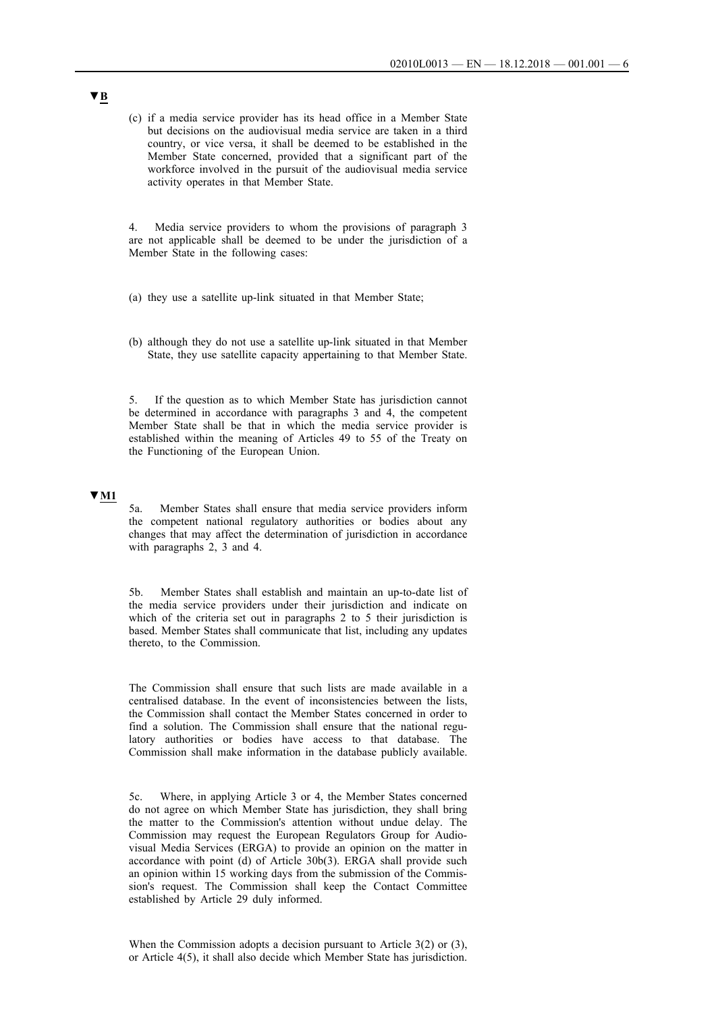(c) if a media service provider has its head office in a Member State but decisions on the audiovisual media service are taken in a third country, or vice versa, it shall be deemed to be established in the Member State concerned, provided that a significant part of the workforce involved in the pursuit of the audiovisual media service activity operates in that Member State.

4. Media service providers to whom the provisions of paragraph 3 are not applicable shall be deemed to be under the jurisdiction of a Member State in the following cases:

- (a) they use a satellite up-link situated in that Member State;
- (b) although they do not use a satellite up-link situated in that Member State, they use satellite capacity appertaining to that Member State.

5. If the question as to which Member State has jurisdiction cannot be determined in accordance with paragraphs 3 and 4, the competent Member State shall be that in which the media service provider is established within the meaning of Articles 49 to 55 of the Treaty on the Functioning of the European Union.

## **▼M1**

5a. Member States shall ensure that media service providers inform the competent national regulatory authorities or bodies about any changes that may affect the determination of jurisdiction in accordance with paragraphs 2, 3 and 4.

5b. Member States shall establish and maintain an up-to-date list of the media service providers under their jurisdiction and indicate on which of the criteria set out in paragraphs 2 to 5 their jurisdiction is based. Member States shall communicate that list, including any updates thereto, to the Commission.

The Commission shall ensure that such lists are made available in a centralised database. In the event of inconsistencies between the lists, the Commission shall contact the Member States concerned in order to find a solution. The Commission shall ensure that the national regulatory authorities or bodies have access to that database. The Commission shall make information in the database publicly available.

5c. Where, in applying Article 3 or 4, the Member States concerned do not agree on which Member State has jurisdiction, they shall bring the matter to the Commission's attention without undue delay. The Commission may request the European Regulators Group for Audiovisual Media Services (ERGA) to provide an opinion on the matter in accordance with point (d) of Article 30b(3). ERGA shall provide such an opinion within 15 working days from the submission of the Commission's request. The Commission shall keep the Contact Committee established by Article 29 duly informed.

When the Commission adopts a decision pursuant to Article 3(2) or (3), or Article 4(5), it shall also decide which Member State has jurisdiction.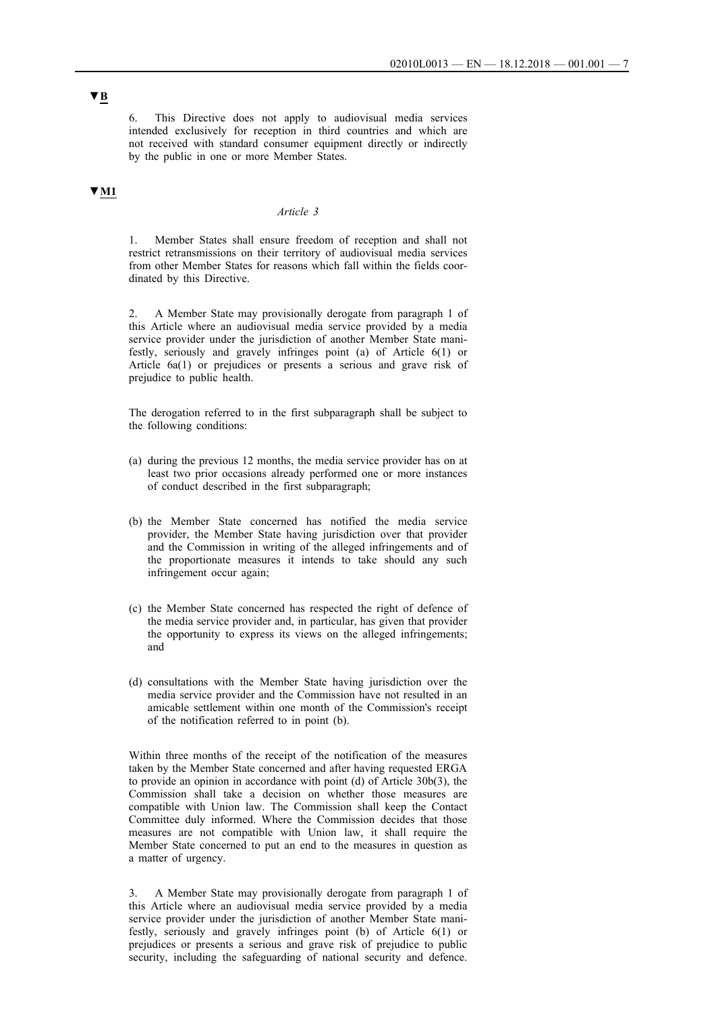6. This Directive does not apply to audiovisual media services intended exclusively for reception in third countries and which are not received with standard consumer equipment directly or indirectly by the public in one or more Member States.

# **▼M1**

#### *Article 3*

1. Member States shall ensure freedom of reception and shall not restrict retransmissions on their territory of audiovisual media services from other Member States for reasons which fall within the fields coordinated by this Directive.

2. A Member State may provisionally derogate from paragraph 1 of this Article where an audiovisual media service provided by a media service provider under the jurisdiction of another Member State manifestly, seriously and gravely infringes point (a) of Article 6(1) or Article 6a(1) or prejudices or presents a serious and grave risk of prejudice to public health.

The derogation referred to in the first subparagraph shall be subject to the following conditions:

- (a) during the previous 12 months, the media service provider has on at least two prior occasions already performed one or more instances of conduct described in the first subparagraph;
- (b) the Member State concerned has notified the media service provider, the Member State having jurisdiction over that provider and the Commission in writing of the alleged infringements and of the proportionate measures it intends to take should any such infringement occur again;
- (c) the Member State concerned has respected the right of defence of the media service provider and, in particular, has given that provider the opportunity to express its views on the alleged infringements; and
- (d) consultations with the Member State having jurisdiction over the media service provider and the Commission have not resulted in an amicable settlement within one month of the Commission's receipt of the notification referred to in point (b).

Within three months of the receipt of the notification of the measures taken by the Member State concerned and after having requested ERGA to provide an opinion in accordance with point (d) of Article 30b(3), the Commission shall take a decision on whether those measures are compatible with Union law. The Commission shall keep the Contact Committee duly informed. Where the Commission decides that those measures are not compatible with Union law, it shall require the Member State concerned to put an end to the measures in question as a matter of urgency.

3. A Member State may provisionally derogate from paragraph 1 of this Article where an audiovisual media service provided by a media service provider under the jurisdiction of another Member State manifestly, seriously and gravely infringes point (b) of Article 6(1) or prejudices or presents a serious and grave risk of prejudice to public security, including the safeguarding of national security and defence.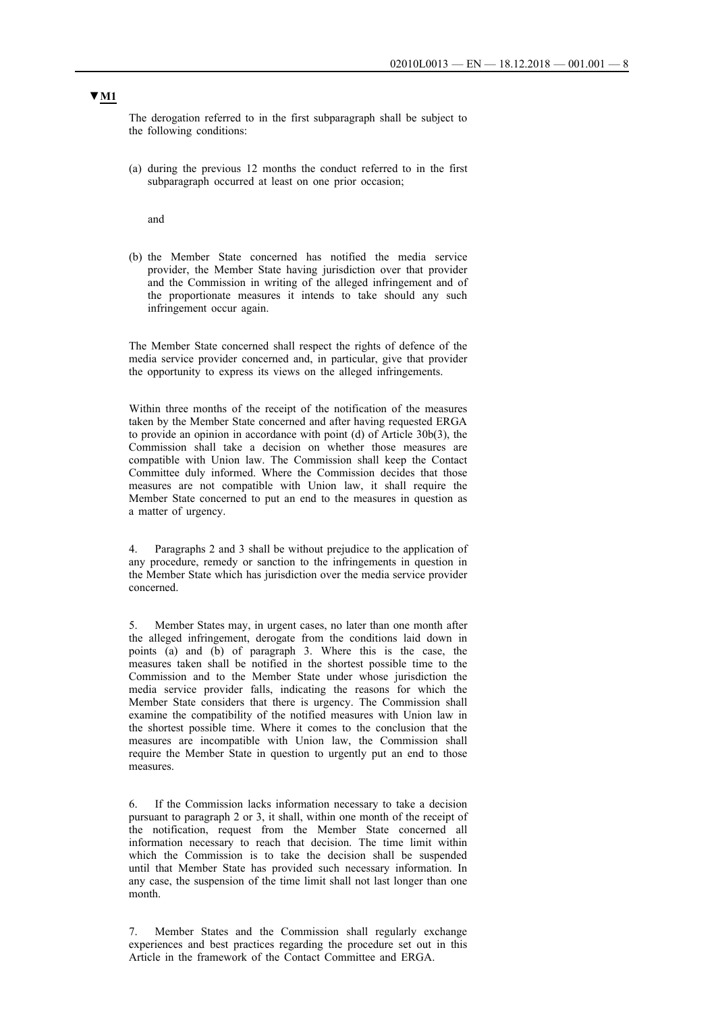The derogation referred to in the first subparagraph shall be subject to the following conditions:

(a) during the previous 12 months the conduct referred to in the first subparagraph occurred at least on one prior occasion;

and

(b) the Member State concerned has notified the media service provider, the Member State having jurisdiction over that provider and the Commission in writing of the alleged infringement and of the proportionate measures it intends to take should any such infringement occur again.

The Member State concerned shall respect the rights of defence of the media service provider concerned and, in particular, give that provider the opportunity to express its views on the alleged infringements.

Within three months of the receipt of the notification of the measures taken by the Member State concerned and after having requested ERGA to provide an opinion in accordance with point (d) of Article 30b(3), the Commission shall take a decision on whether those measures are compatible with Union law. The Commission shall keep the Contact Committee duly informed. Where the Commission decides that those measures are not compatible with Union law, it shall require the Member State concerned to put an end to the measures in question as a matter of urgency.

4. Paragraphs 2 and 3 shall be without prejudice to the application of any procedure, remedy or sanction to the infringements in question in the Member State which has jurisdiction over the media service provider concerned.

5. Member States may, in urgent cases, no later than one month after the alleged infringement, derogate from the conditions laid down in points (a) and (b) of paragraph 3. Where this is the case, the measures taken shall be notified in the shortest possible time to the Commission and to the Member State under whose jurisdiction the media service provider falls, indicating the reasons for which the Member State considers that there is urgency. The Commission shall examine the compatibility of the notified measures with Union law in the shortest possible time. Where it comes to the conclusion that the measures are incompatible with Union law, the Commission shall require the Member State in question to urgently put an end to those measures.

6. If the Commission lacks information necessary to take a decision pursuant to paragraph 2 or 3, it shall, within one month of the receipt of the notification, request from the Member State concerned all information necessary to reach that decision. The time limit within which the Commission is to take the decision shall be suspended until that Member State has provided such necessary information. In any case, the suspension of the time limit shall not last longer than one month.

7. Member States and the Commission shall regularly exchange experiences and best practices regarding the procedure set out in this Article in the framework of the Contact Committee and ERGA.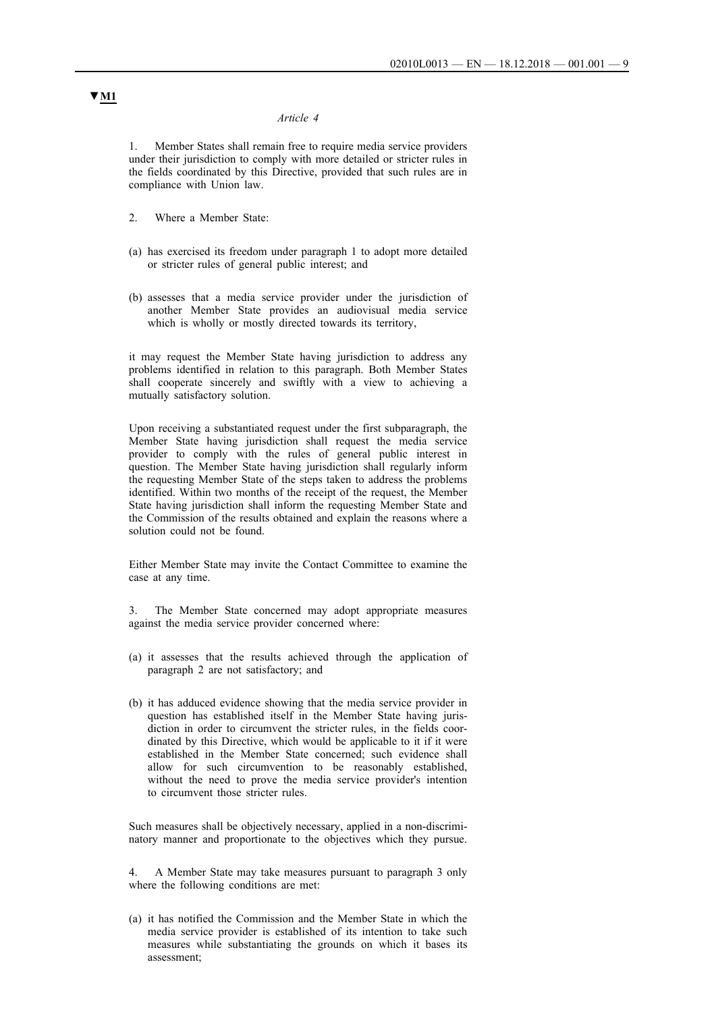#### *Article 4*

1. Member States shall remain free to require media service providers under their jurisdiction to comply with more detailed or stricter rules in the fields coordinated by this Directive, provided that such rules are in compliance with Union law.

- 2. Where a Member State:
- (a) has exercised its freedom under paragraph 1 to adopt more detailed or stricter rules of general public interest; and
- (b) assesses that a media service provider under the jurisdiction of another Member State provides an audiovisual media service which is wholly or mostly directed towards its territory,

it may request the Member State having jurisdiction to address any problems identified in relation to this paragraph. Both Member States shall cooperate sincerely and swiftly with a view to achieving a mutually satisfactory solution.

Upon receiving a substantiated request under the first subparagraph, the Member State having jurisdiction shall request the media service provider to comply with the rules of general public interest in question. The Member State having jurisdiction shall regularly inform the requesting Member State of the steps taken to address the problems identified. Within two months of the receipt of the request, the Member State having jurisdiction shall inform the requesting Member State and the Commission of the results obtained and explain the reasons where a solution could not be found.

Either Member State may invite the Contact Committee to examine the case at any time.

The Member State concerned may adopt appropriate measures against the media service provider concerned where:

- (a) it assesses that the results achieved through the application of paragraph 2 are not satisfactory; and
- (b) it has adduced evidence showing that the media service provider in question has established itself in the Member State having jurisdiction in order to circumvent the stricter rules, in the fields coordinated by this Directive, which would be applicable to it if it were established in the Member State concerned; such evidence shall allow for such circumvention to be reasonably established, without the need to prove the media service provider's intention to circumvent those stricter rules.

Such measures shall be objectively necessary, applied in a non-discriminatory manner and proportionate to the objectives which they pursue.

4. A Member State may take measures pursuant to paragraph 3 only where the following conditions are met:

(a) it has notified the Commission and the Member State in which the media service provider is established of its intention to take such measures while substantiating the grounds on which it bases its assessment;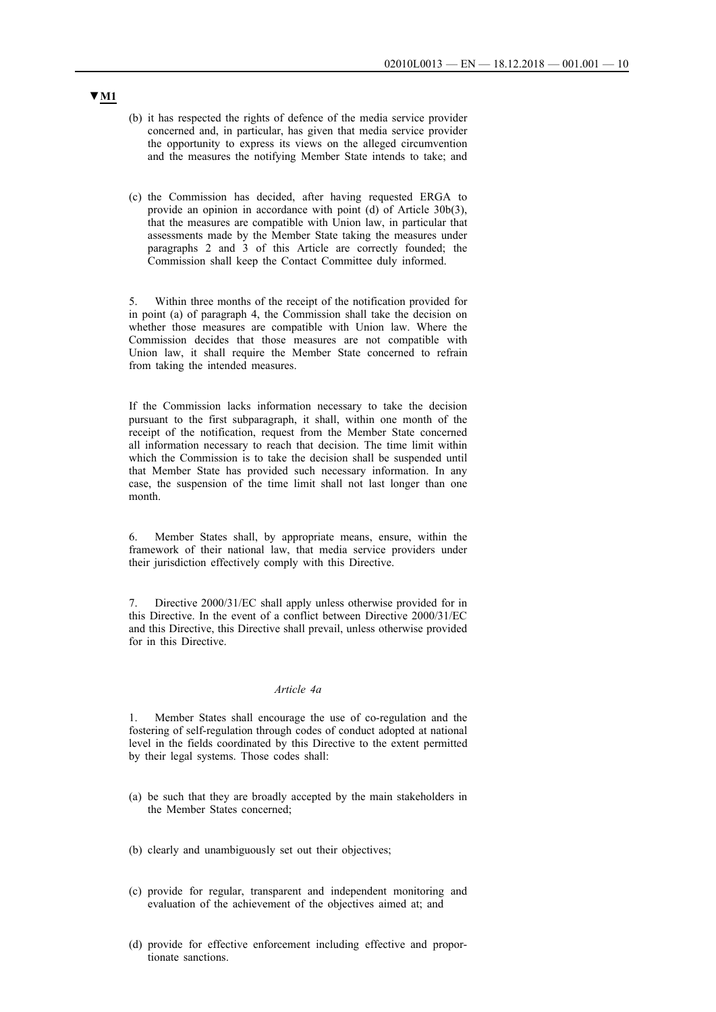- (b) it has respected the rights of defence of the media service provider concerned and, in particular, has given that media service provider the opportunity to express its views on the alleged circumvention and the measures the notifying Member State intends to take; and
- (c) the Commission has decided, after having requested ERGA to provide an opinion in accordance with point (d) of Article 30b(3), that the measures are compatible with Union law, in particular that assessments made by the Member State taking the measures under paragraphs 2 and 3 of this Article are correctly founded; the Commission shall keep the Contact Committee duly informed.

5. Within three months of the receipt of the notification provided for in point (a) of paragraph 4, the Commission shall take the decision on whether those measures are compatible with Union law. Where the Commission decides that those measures are not compatible with Union law, it shall require the Member State concerned to refrain from taking the intended measures.

If the Commission lacks information necessary to take the decision pursuant to the first subparagraph, it shall, within one month of the receipt of the notification, request from the Member State concerned all information necessary to reach that decision. The time limit within which the Commission is to take the decision shall be suspended until that Member State has provided such necessary information. In any case, the suspension of the time limit shall not last longer than one month.

6. Member States shall, by appropriate means, ensure, within the framework of their national law, that media service providers under their jurisdiction effectively comply with this Directive.

7. Directive 2000/31/EC shall apply unless otherwise provided for in this Directive. In the event of a conflict between Directive 2000/31/EC and this Directive, this Directive shall prevail, unless otherwise provided for in this Directive.

#### *Article 4a*

1. Member States shall encourage the use of co-regulation and the fostering of self-regulation through codes of conduct adopted at national level in the fields coordinated by this Directive to the extent permitted by their legal systems. Those codes shall:

- (a) be such that they are broadly accepted by the main stakeholders in the Member States concerned;
- (b) clearly and unambiguously set out their objectives;
- (c) provide for regular, transparent and independent monitoring and evaluation of the achievement of the objectives aimed at; and
- (d) provide for effective enforcement including effective and proportionate sanctions.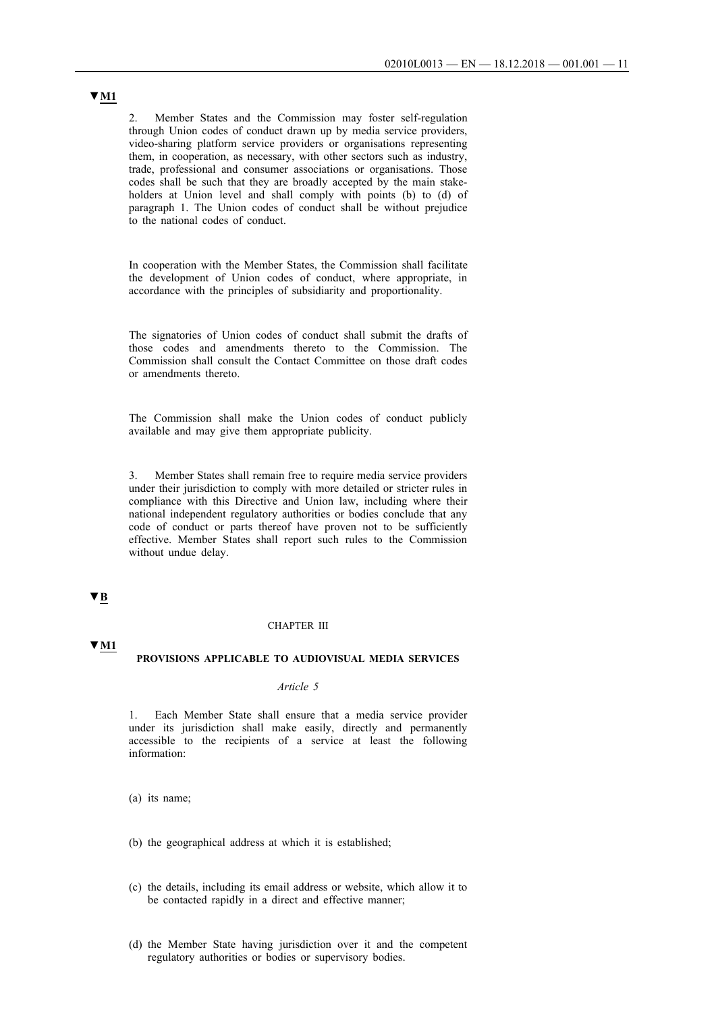2. Member States and the Commission may foster self-regulation through Union codes of conduct drawn up by media service providers, video-sharing platform service providers or organisations representing them, in cooperation, as necessary, with other sectors such as industry, trade, professional and consumer associations or organisations. Those codes shall be such that they are broadly accepted by the main stakeholders at Union level and shall comply with points (b) to (d) of paragraph 1. The Union codes of conduct shall be without prejudice to the national codes of conduct.

In cooperation with the Member States, the Commission shall facilitate the development of Union codes of conduct, where appropriate, in accordance with the principles of subsidiarity and proportionality.

The signatories of Union codes of conduct shall submit the drafts of those codes and amendments thereto to the Commission. The Commission shall consult the Contact Committee on those draft codes or amendments thereto.

The Commission shall make the Union codes of conduct publicly available and may give them appropriate publicity.

3. Member States shall remain free to require media service providers under their jurisdiction to comply with more detailed or stricter rules in compliance with this Directive and Union law, including where their national independent regulatory authorities or bodies conclude that any code of conduct or parts thereof have proven not to be sufficiently effective. Member States shall report such rules to the Commission without undue delay.

# **▼B**

**▼M1**

## CHAPTER III

# **PROVISIONS APPLICABLE TO AUDIOVISUAL MEDIA SERVICES**

#### *Article 5*

1. Each Member State shall ensure that a media service provider under its jurisdiction shall make easily, directly and permanently accessible to the recipients of a service at least the following information:

(a) its name;

- (b) the geographical address at which it is established;
- (c) the details, including its email address or website, which allow it to be contacted rapidly in a direct and effective manner;
- (d) the Member State having jurisdiction over it and the competent regulatory authorities or bodies or supervisory bodies.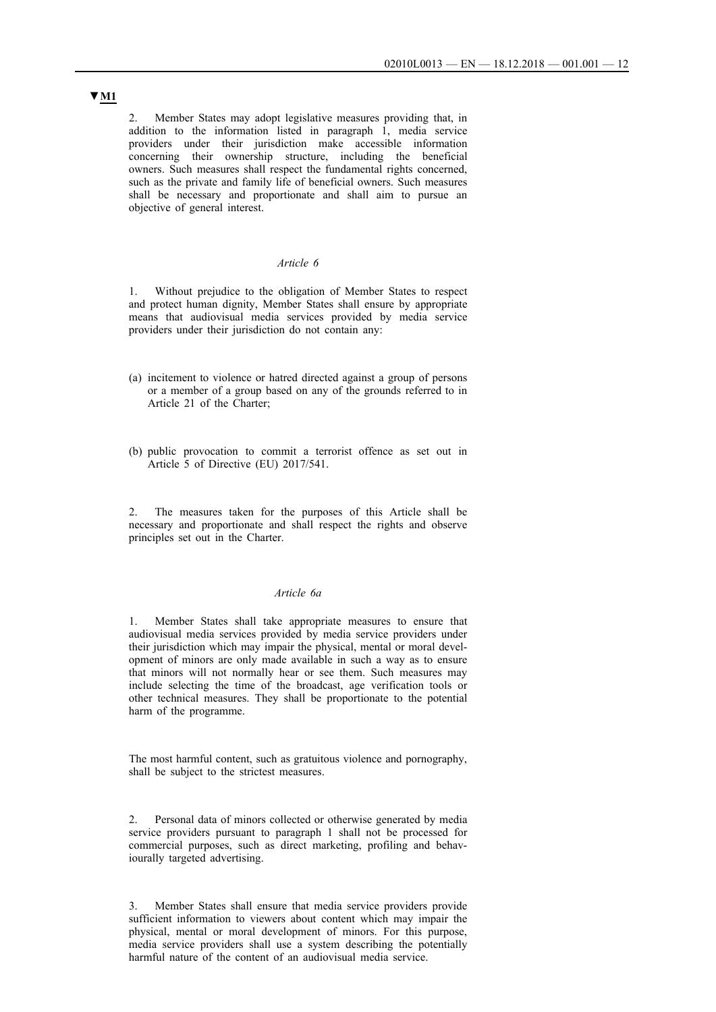2. Member States may adopt legislative measures providing that, in addition to the information listed in paragraph 1, media service providers under their jurisdiction make accessible information concerning their ownership structure, including the beneficial owners. Such measures shall respect the fundamental rights concerned, such as the private and family life of beneficial owners. Such measures shall be necessary and proportionate and shall aim to pursue an objective of general interest.

#### *Article 6*

1. Without prejudice to the obligation of Member States to respect and protect human dignity, Member States shall ensure by appropriate means that audiovisual media services provided by media service providers under their jurisdiction do not contain any:

- (a) incitement to violence or hatred directed against a group of persons or a member of a group based on any of the grounds referred to in Article 21 of the Charter;
- (b) public provocation to commit a terrorist offence as set out in Article 5 of Directive (EU) 2017/541.

2. The measures taken for the purposes of this Article shall be necessary and proportionate and shall respect the rights and observe principles set out in the Charter.

#### *Article 6a*

1. Member States shall take appropriate measures to ensure that audiovisual media services provided by media service providers under their jurisdiction which may impair the physical, mental or moral development of minors are only made available in such a way as to ensure that minors will not normally hear or see them. Such measures may include selecting the time of the broadcast, age verification tools or other technical measures. They shall be proportionate to the potential harm of the programme.

The most harmful content, such as gratuitous violence and pornography, shall be subject to the strictest measures.

2. Personal data of minors collected or otherwise generated by media service providers pursuant to paragraph 1 shall not be processed for commercial purposes, such as direct marketing, profiling and behaviourally targeted advertising.

3. Member States shall ensure that media service providers provide sufficient information to viewers about content which may impair the physical, mental or moral development of minors. For this purpose, media service providers shall use a system describing the potentially harmful nature of the content of an audiovisual media service.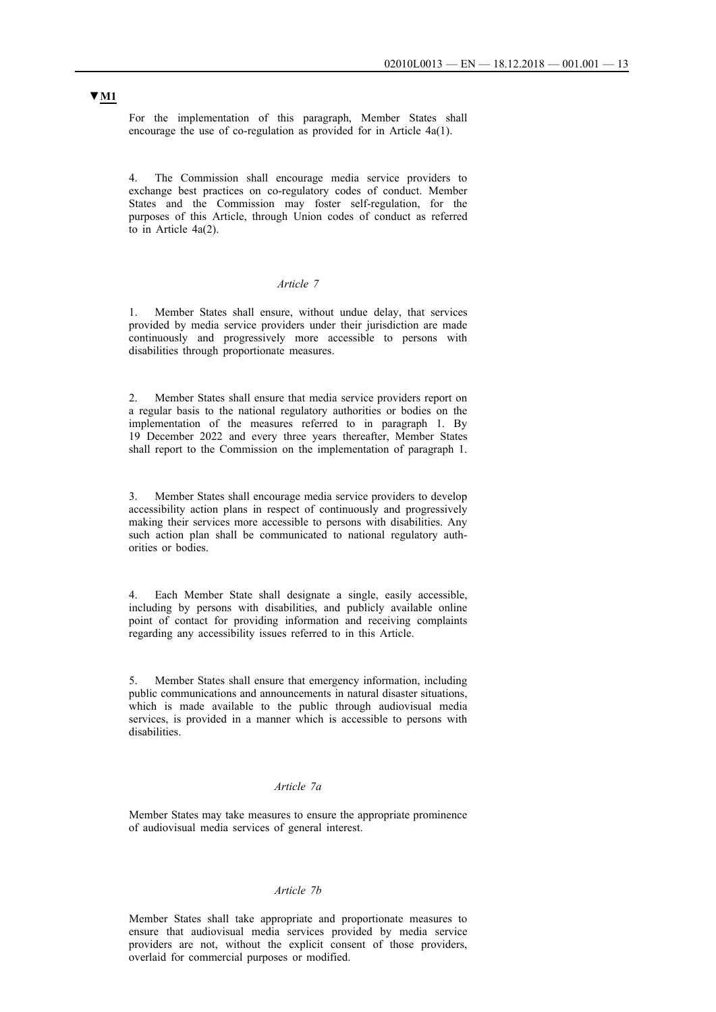For the implementation of this paragraph, Member States shall encourage the use of co-regulation as provided for in Article 4a(1).

4. The Commission shall encourage media service providers to exchange best practices on co-regulatory codes of conduct. Member States and the Commission may foster self-regulation, for the purposes of this Article, through Union codes of conduct as referred to in Article 4a(2).

# *Article 7*

1. Member States shall ensure, without undue delay, that services provided by media service providers under their jurisdiction are made continuously and progressively more accessible to persons with disabilities through proportionate measures.

2. Member States shall ensure that media service providers report on a regular basis to the national regulatory authorities or bodies on the implementation of the measures referred to in paragraph 1. By 19 December 2022 and every three years thereafter, Member States shall report to the Commission on the implementation of paragraph 1.

3. Member States shall encourage media service providers to develop accessibility action plans in respect of continuously and progressively making their services more accessible to persons with disabilities. Any such action plan shall be communicated to national regulatory authorities or bodies.

4. Each Member State shall designate a single, easily accessible, including by persons with disabilities, and publicly available online point of contact for providing information and receiving complaints regarding any accessibility issues referred to in this Article.

5. Member States shall ensure that emergency information, including public communications and announcements in natural disaster situations, which is made available to the public through audiovisual media services, is provided in a manner which is accessible to persons with disabilities.

## *Article 7a*

Member States may take measures to ensure the appropriate prominence of audiovisual media services of general interest.

#### *Article 7b*

Member States shall take appropriate and proportionate measures to ensure that audiovisual media services provided by media service providers are not, without the explicit consent of those providers, overlaid for commercial purposes or modified.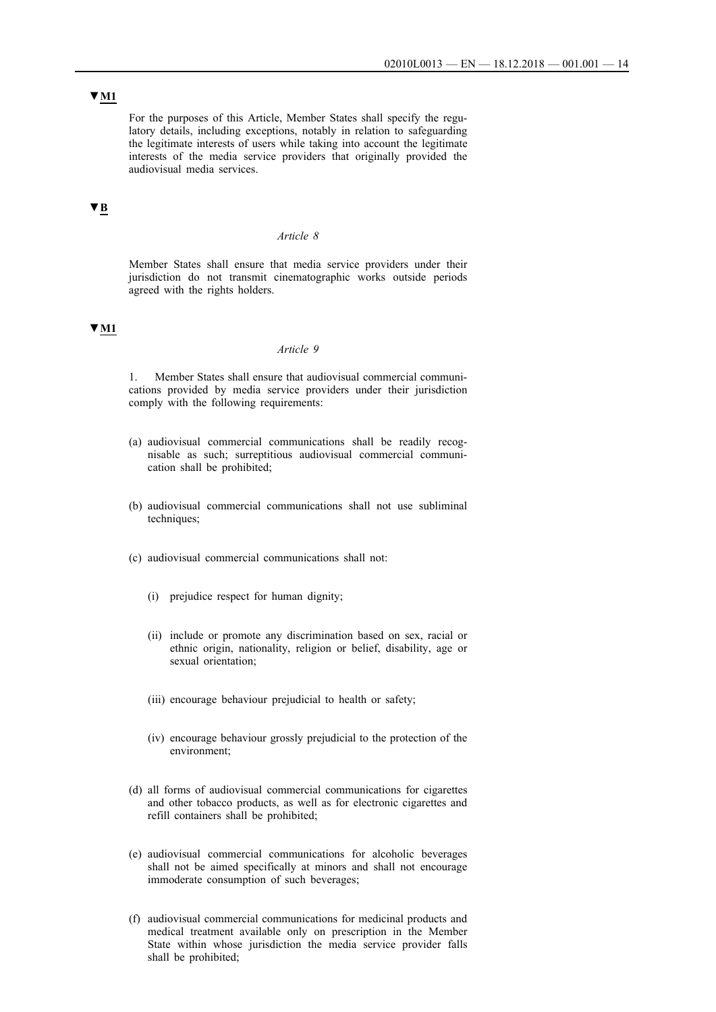# **▼M1**

For the purposes of this Article, Member States shall specify the regulatory details, including exceptions, notably in relation to safeguarding the legitimate interests of users while taking into account the legitimate interests of the media service providers that originally provided the audiovisual media services.

# **▼B**

#### *Article 8*

Member States shall ensure that media service providers under their jurisdiction do not transmit cinematographic works outside periods agreed with the rights holders.

## **▼M1**

## *Article 9*

1. Member States shall ensure that audiovisual commercial communications provided by media service providers under their jurisdiction comply with the following requirements:

- (a) audiovisual commercial communications shall be readily recognisable as such; surreptitious audiovisual commercial communication shall be prohibited;
- (b) audiovisual commercial communications shall not use subliminal techniques;
- (c) audiovisual commercial communications shall not:
	- (i) prejudice respect for human dignity;
	- (ii) include or promote any discrimination based on sex, racial or ethnic origin, nationality, religion or belief, disability, age or sexual orientation;
	- (iii) encourage behaviour prejudicial to health or safety;
	- (iv) encourage behaviour grossly prejudicial to the protection of the environment;
- (d) all forms of audiovisual commercial communications for cigarettes and other tobacco products, as well as for electronic cigarettes and refill containers shall be prohibited;
- (e) audiovisual commercial communications for alcoholic beverages shall not be aimed specifically at minors and shall not encourage immoderate consumption of such beverages;
- (f) audiovisual commercial communications for medicinal products and medical treatment available only on prescription in the Member State within whose jurisdiction the media service provider falls shall be prohibited;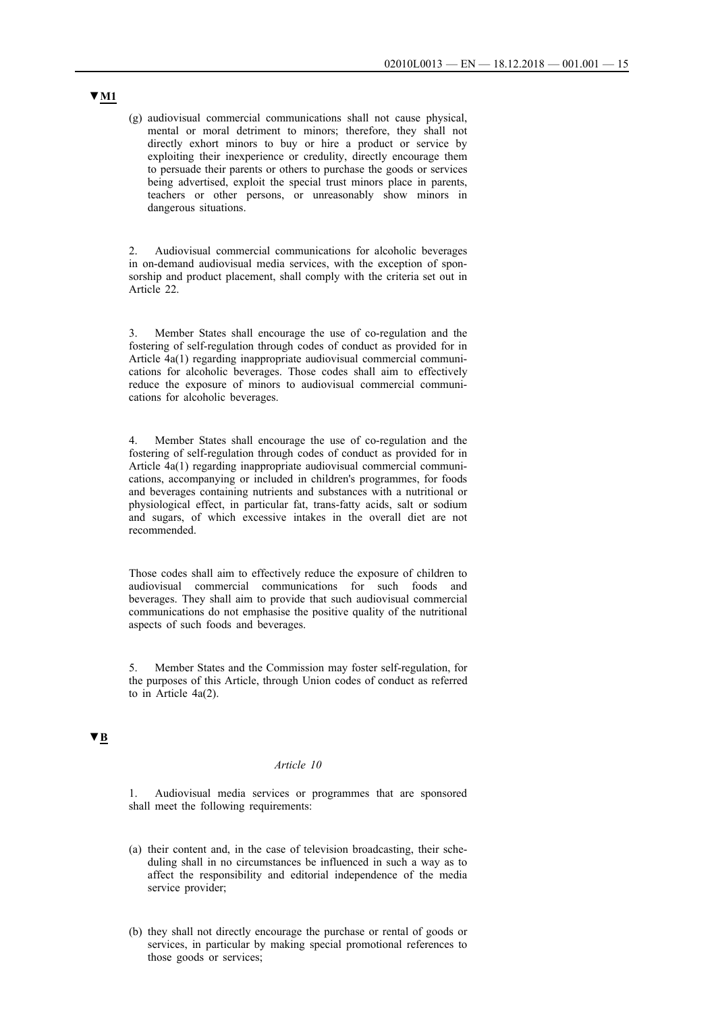(g) audiovisual commercial communications shall not cause physical, mental or moral detriment to minors; therefore, they shall not directly exhort minors to buy or hire a product or service by exploiting their inexperience or credulity, directly encourage them to persuade their parents or others to purchase the goods or services being advertised, exploit the special trust minors place in parents, teachers or other persons, or unreasonably show minors in dangerous situations.

2. Audiovisual commercial communications for alcoholic beverages in on-demand audiovisual media services, with the exception of sponsorship and product placement, shall comply with the criteria set out in Article 22.

3. Member States shall encourage the use of co-regulation and the fostering of self-regulation through codes of conduct as provided for in Article 4a(1) regarding inappropriate audiovisual commercial communications for alcoholic beverages. Those codes shall aim to effectively reduce the exposure of minors to audiovisual commercial communications for alcoholic beverages.

4. Member States shall encourage the use of co-regulation and the fostering of self-regulation through codes of conduct as provided for in Article 4a(1) regarding inappropriate audiovisual commercial communications, accompanying or included in children's programmes, for foods and beverages containing nutrients and substances with a nutritional or physiological effect, in particular fat, trans-fatty acids, salt or sodium and sugars, of which excessive intakes in the overall diet are not recommended.

Those codes shall aim to effectively reduce the exposure of children to audiovisual commercial communications for such foods and beverages. They shall aim to provide that such audiovisual commercial communications do not emphasise the positive quality of the nutritional aspects of such foods and beverages.

5. Member States and the Commission may foster self-regulation, for the purposes of this Article, through Union codes of conduct as referred to in Article 4a(2).

**▼B**

### *Article 10*

1. Audiovisual media services or programmes that are sponsored shall meet the following requirements:

- (a) their content and, in the case of television broadcasting, their scheduling shall in no circumstances be influenced in such a way as to affect the responsibility and editorial independence of the media service provider;
- (b) they shall not directly encourage the purchase or rental of goods or services, in particular by making special promotional references to those goods or services;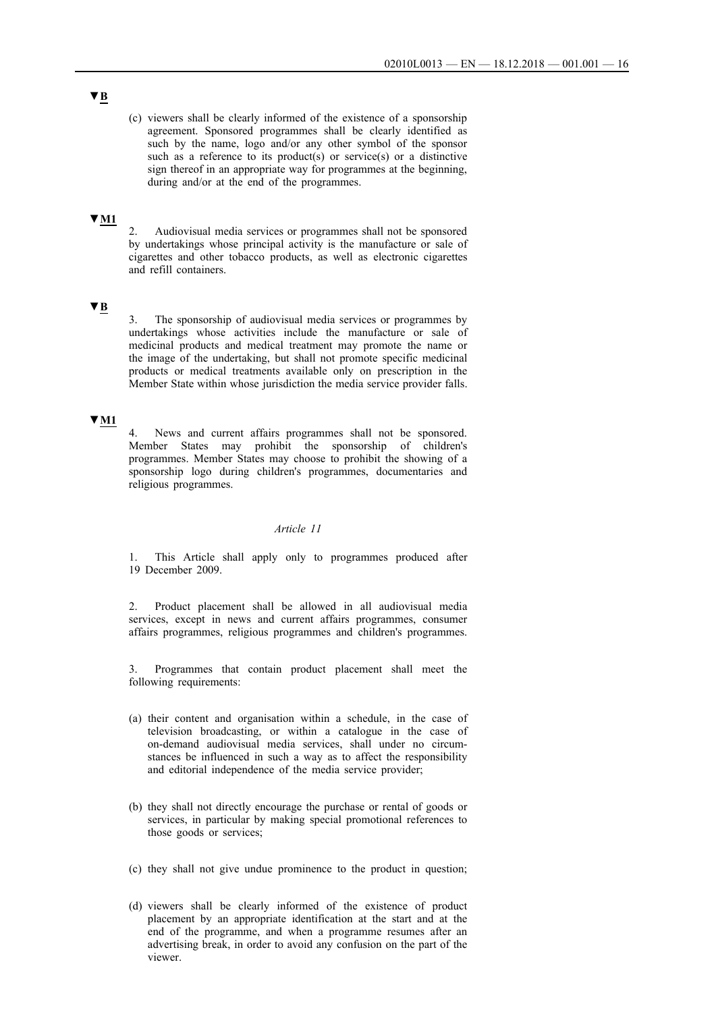(c) viewers shall be clearly informed of the existence of a sponsorship agreement. Sponsored programmes shall be clearly identified as such by the name, logo and/or any other symbol of the sponsor such as a reference to its product(s) or service(s) or a distinctive sign thereof in an appropriate way for programmes at the beginning, during and/or at the end of the programmes.

# **▼M1**

2. Audiovisual media services or programmes shall not be sponsored by undertakings whose principal activity is the manufacture or sale of cigarettes and other tobacco products, as well as electronic cigarettes and refill containers.

# **▼B**

3. The sponsorship of audiovisual media services or programmes by undertakings whose activities include the manufacture or sale of medicinal products and medical treatment may promote the name or the image of the undertaking, but shall not promote specific medicinal products or medical treatments available only on prescription in the Member State within whose jurisdiction the media service provider falls.

# **▼M1**

4. News and current affairs programmes shall not be sponsored. Member States may prohibit the sponsorship of children's programmes. Member States may choose to prohibit the showing of a sponsorship logo during children's programmes, documentaries and religious programmes.

#### *Article 11*

This Article shall apply only to programmes produced after 19 December 2009.

2. Product placement shall be allowed in all audiovisual media services, except in news and current affairs programmes, consumer affairs programmes, religious programmes and children's programmes.

3. Programmes that contain product placement shall meet the following requirements:

- (a) their content and organisation within a schedule, in the case of television broadcasting, or within a catalogue in the case of on-demand audiovisual media services, shall under no circumstances be influenced in such a way as to affect the responsibility and editorial independence of the media service provider;
- (b) they shall not directly encourage the purchase or rental of goods or services, in particular by making special promotional references to those goods or services;
- (c) they shall not give undue prominence to the product in question;
- (d) viewers shall be clearly informed of the existence of product placement by an appropriate identification at the start and at the end of the programme, and when a programme resumes after an advertising break, in order to avoid any confusion on the part of the viewer.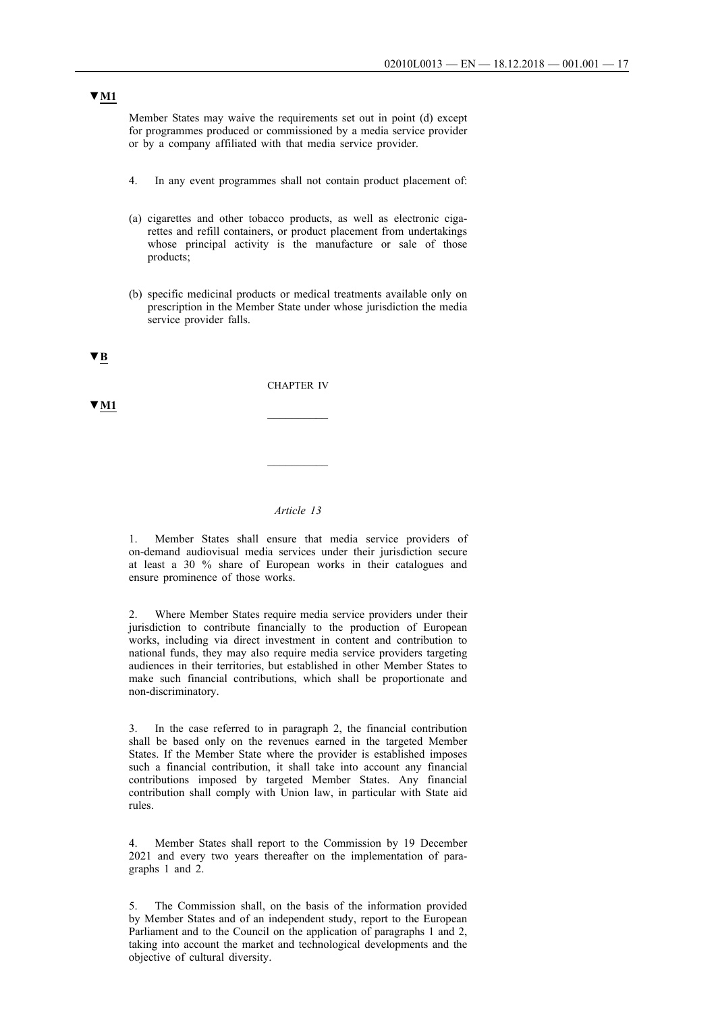Member States may waive the requirements set out in point (d) except for programmes produced or commissioned by a media service provider or by a company affiliated with that media service provider.

- 4. In any event programmes shall not contain product placement of:
- (a) cigarettes and other tobacco products, as well as electronic cigarettes and refill containers, or product placement from undertakings whose principal activity is the manufacture or sale of those products;
- (b) specific medicinal products or medical treatments available only on prescription in the Member State under whose jurisdiction the media service provider falls.

### **▼B**

#### CHAPTER IV

 $\blacktriangledown$  <u>M1</u>

## *Article 13*

 $\frac{1}{2}$ 

1. Member States shall ensure that media service providers of on-demand audiovisual media services under their jurisdiction secure at least a 30 % share of European works in their catalogues and ensure prominence of those works.

2. Where Member States require media service providers under their jurisdiction to contribute financially to the production of European works, including via direct investment in content and contribution to national funds, they may also require media service providers targeting audiences in their territories, but established in other Member States to make such financial contributions, which shall be proportionate and non-discriminatory.

3. In the case referred to in paragraph 2, the financial contribution shall be based only on the revenues earned in the targeted Member States. If the Member State where the provider is established imposes such a financial contribution, it shall take into account any financial contributions imposed by targeted Member States. Any financial contribution shall comply with Union law, in particular with State aid rules.

4. Member States shall report to the Commission by 19 December 2021 and every two years thereafter on the implementation of paragraphs 1 and 2.

5. The Commission shall, on the basis of the information provided by Member States and of an independent study, report to the European Parliament and to the Council on the application of paragraphs 1 and 2, taking into account the market and technological developments and the objective of cultural diversity.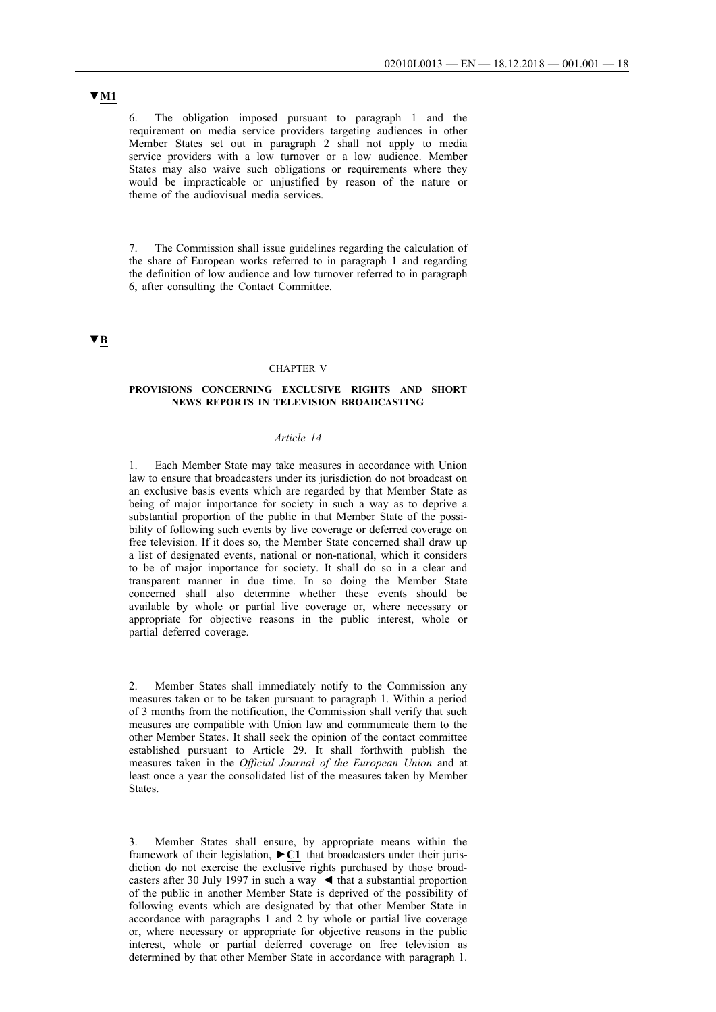6. The obligation imposed pursuant to paragraph 1 and the requirement on media service providers targeting audiences in other Member States set out in paragraph 2 shall not apply to media service providers with a low turnover or a low audience. Member States may also waive such obligations or requirements where they would be impracticable or unjustified by reason of the nature or theme of the audiovisual media services.

7. The Commission shall issue guidelines regarding the calculation of the share of European works referred to in paragraph 1 and regarding the definition of low audience and low turnover referred to in paragraph 6, after consulting the Contact Committee.

## **▼B**

#### CHAPTER V

### **PROVISIONS CONCERNING EXCLUSIVE RIGHTS AND SHORT NEWS REPORTS IN TELEVISION BROADCASTING**

#### *Article 14*

1. Each Member State may take measures in accordance with Union law to ensure that broadcasters under its jurisdiction do not broadcast on an exclusive basis events which are regarded by that Member State as being of major importance for society in such a way as to deprive a substantial proportion of the public in that Member State of the possibility of following such events by live coverage or deferred coverage on free television. If it does so, the Member State concerned shall draw up a list of designated events, national or non-national, which it considers to be of major importance for society. It shall do so in a clear and transparent manner in due time. In so doing the Member State concerned shall also determine whether these events should be available by whole or partial live coverage or, where necessary or appropriate for objective reasons in the public interest, whole or partial deferred coverage.

2. Member States shall immediately notify to the Commission any measures taken or to be taken pursuant to paragraph 1. Within a period of 3 months from the notification, the Commission shall verify that such measures are compatible with Union law and communicate them to the other Member States. It shall seek the opinion of the contact committee established pursuant to Article 29. It shall forthwith publish the measures taken in the *Official Journal of the European Union* and at least once a year the consolidated list of the measures taken by Member States.

3. Member States shall ensure, by appropriate means within the framework of their legislation, **►C1** that broadcasters under their jurisdiction do not exercise the exclusive rights purchased by those broadcasters after 30 July 1997 in such a way  $\blacktriangleleft$  that a substantial proportion of the public in another Member State is deprived of the possibility of following events which are designated by that other Member State in accordance with paragraphs 1 and 2 by whole or partial live coverage or, where necessary or appropriate for objective reasons in the public interest, whole or partial deferred coverage on free television as determined by that other Member State in accordance with paragraph 1.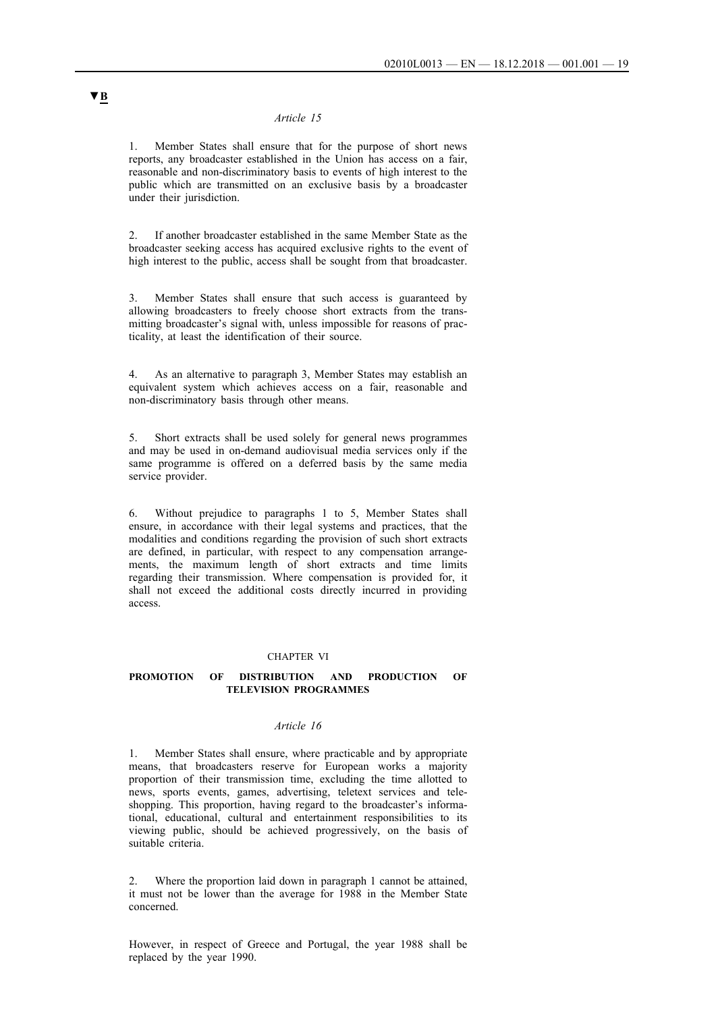### *Article 15*

1. Member States shall ensure that for the purpose of short news reports, any broadcaster established in the Union has access on a fair, reasonable and non-discriminatory basis to events of high interest to the public which are transmitted on an exclusive basis by a broadcaster under their jurisdiction.

2. If another broadcaster established in the same Member State as the broadcaster seeking access has acquired exclusive rights to the event of high interest to the public, access shall be sought from that broadcaster.

3. Member States shall ensure that such access is guaranteed by allowing broadcasters to freely choose short extracts from the transmitting broadcaster's signal with, unless impossible for reasons of practicality, at least the identification of their source.

As an alternative to paragraph 3, Member States may establish an equivalent system which achieves access on a fair, reasonable and non-discriminatory basis through other means.

5. Short extracts shall be used solely for general news programmes and may be used in on-demand audiovisual media services only if the same programme is offered on a deferred basis by the same media service provider.

6. Without prejudice to paragraphs 1 to 5, Member States shall ensure, in accordance with their legal systems and practices, that the modalities and conditions regarding the provision of such short extracts are defined, in particular, with respect to any compensation arrangements, the maximum length of short extracts and time limits regarding their transmission. Where compensation is provided for, it shall not exceed the additional costs directly incurred in providing access.

#### CHAPTER VI

### **PROMOTION OF DISTRIBUTION AND PRODUCTION OF TELEVISION PROGRAMMES**

#### *Article 16*

1. Member States shall ensure, where practicable and by appropriate means, that broadcasters reserve for European works a majority proportion of their transmission time, excluding the time allotted to news, sports events, games, advertising, teletext services and teleshopping. This proportion, having regard to the broadcaster's informational, educational, cultural and entertainment responsibilities to its viewing public, should be achieved progressively, on the basis of suitable criteria.

2. Where the proportion laid down in paragraph 1 cannot be attained, it must not be lower than the average for 1988 in the Member State concerned.

However, in respect of Greece and Portugal, the year 1988 shall be replaced by the year 1990.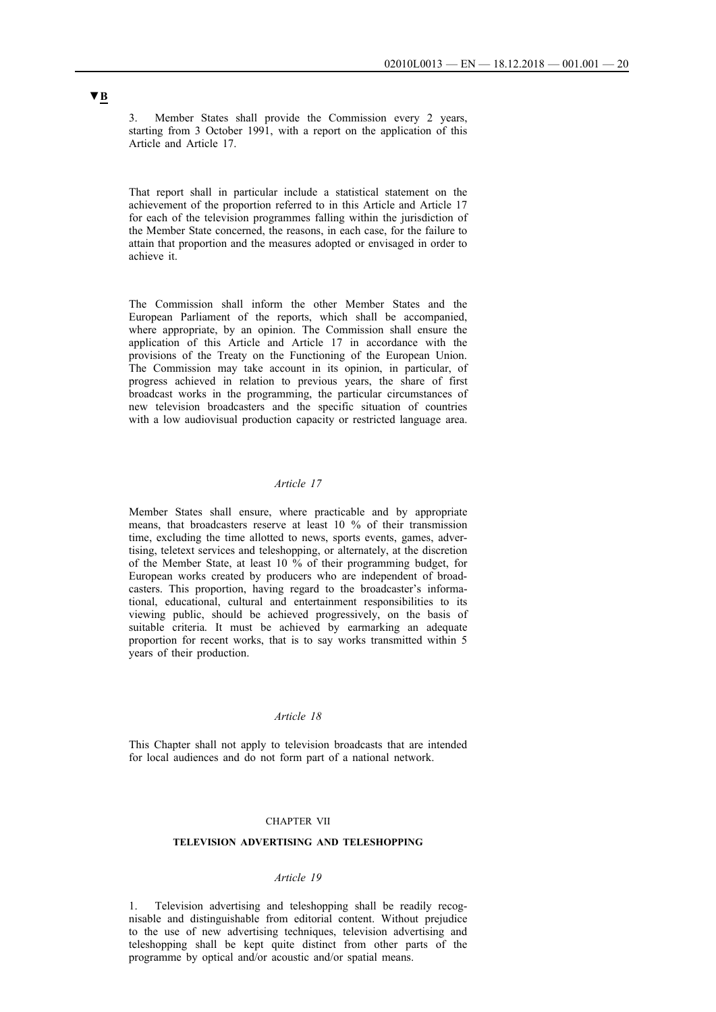3. Member States shall provide the Commission every 2 years, starting from 3 October 1991, with a report on the application of this Article and Article 17.

That report shall in particular include a statistical statement on the achievement of the proportion referred to in this Article and Article 17 for each of the television programmes falling within the jurisdiction of the Member State concerned, the reasons, in each case, for the failure to attain that proportion and the measures adopted or envisaged in order to achieve it.

The Commission shall inform the other Member States and the European Parliament of the reports, which shall be accompanied, where appropriate, by an opinion. The Commission shall ensure the application of this Article and Article 17 in accordance with the provisions of the Treaty on the Functioning of the European Union. The Commission may take account in its opinion, in particular, of progress achieved in relation to previous years, the share of first broadcast works in the programming, the particular circumstances of new television broadcasters and the specific situation of countries with a low audiovisual production capacity or restricted language area.

## *Article 17*

Member States shall ensure, where practicable and by appropriate means, that broadcasters reserve at least 10 % of their transmission time, excluding the time allotted to news, sports events, games, advertising, teletext services and teleshopping, or alternately, at the discretion of the Member State, at least 10 % of their programming budget, for European works created by producers who are independent of broadcasters. This proportion, having regard to the broadcaster's informational, educational, cultural and entertainment responsibilities to its viewing public, should be achieved progressively, on the basis of suitable criteria. It must be achieved by earmarking an adequate proportion for recent works, that is to say works transmitted within 5 years of their production.

## *Article 18*

This Chapter shall not apply to television broadcasts that are intended for local audiences and do not form part of a national network.

### CHAPTER VII

## **TELEVISION ADVERTISING AND TELESHOPPING**

## *Article 19*

1. Television advertising and teleshopping shall be readily recognisable and distinguishable from editorial content. Without prejudice to the use of new advertising techniques, television advertising and teleshopping shall be kept quite distinct from other parts of the programme by optical and/or acoustic and/or spatial means.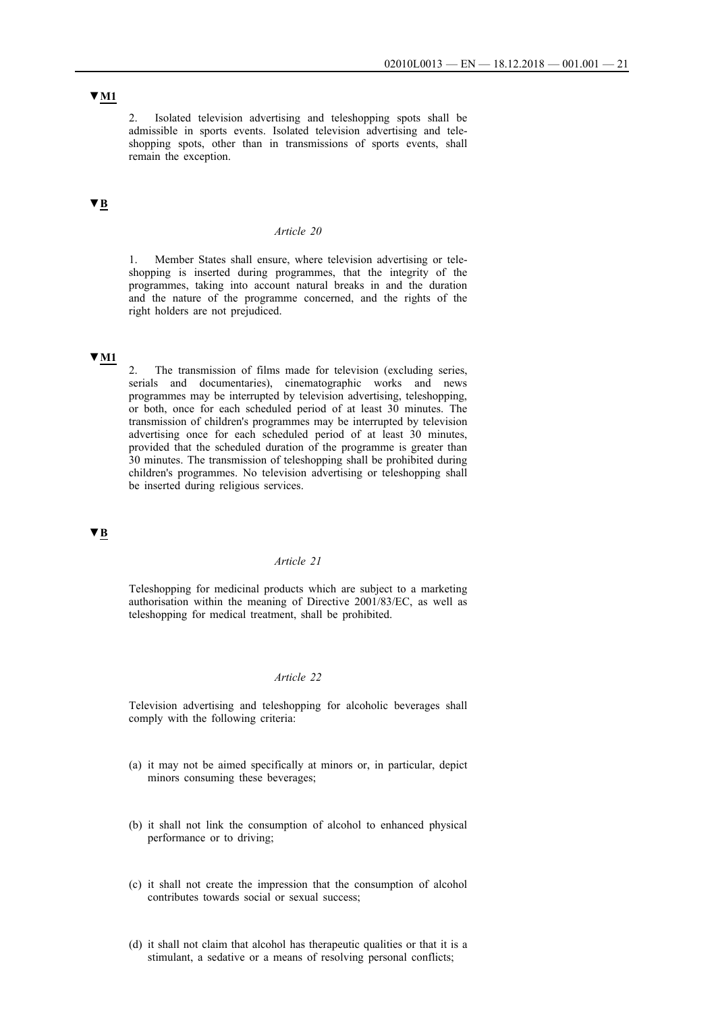# **▼M1**

2. Isolated television advertising and teleshopping spots shall be admissible in sports events. Isolated television advertising and teleshopping spots, other than in transmissions of sports events, shall remain the exception.

# **▼B**

## *Article 20*

1. Member States shall ensure, where television advertising or teleshopping is inserted during programmes, that the integrity of the programmes, taking into account natural breaks in and the duration and the nature of the programme concerned, and the rights of the right holders are not prejudiced.

# **▼M1**

2. The transmission of films made for television (excluding series, serials and documentaries), cinematographic works and news programmes may be interrupted by television advertising, teleshopping, or both, once for each scheduled period of at least 30 minutes. The transmission of children's programmes may be interrupted by television advertising once for each scheduled period of at least 30 minutes, provided that the scheduled duration of the programme is greater than 30 minutes. The transmission of teleshopping shall be prohibited during children's programmes. No television advertising or teleshopping shall be inserted during religious services.

# **▼B**

## *Article 21*

Teleshopping for medicinal products which are subject to a marketing authorisation within the meaning of Directive 2001/83/EC, as well as teleshopping for medical treatment, shall be prohibited.

#### *Article 22*

Television advertising and teleshopping for alcoholic beverages shall comply with the following criteria:

- (a) it may not be aimed specifically at minors or, in particular, depict minors consuming these beverages;
- (b) it shall not link the consumption of alcohol to enhanced physical performance or to driving;
- (c) it shall not create the impression that the consumption of alcohol contributes towards social or sexual success;
- (d) it shall not claim that alcohol has therapeutic qualities or that it is a stimulant, a sedative or a means of resolving personal conflicts;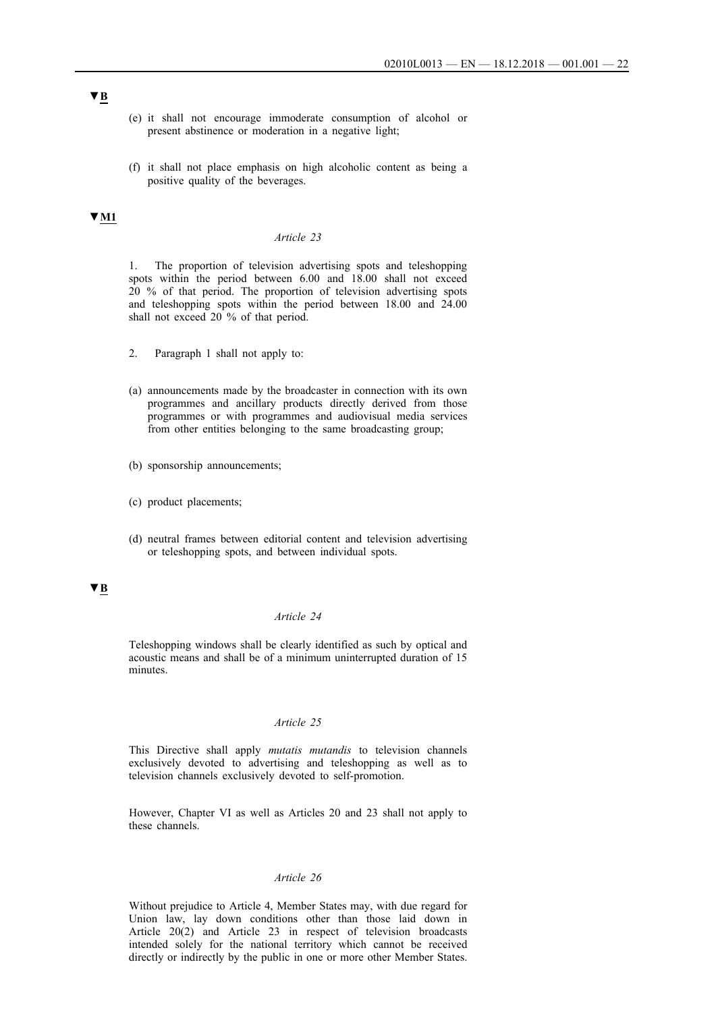- (e) it shall not encourage immoderate consumption of alcohol or present abstinence or moderation in a negative light;
- (f) it shall not place emphasis on high alcoholic content as being a positive quality of the beverages.

# **▼M1**

#### *Article 23*

1. The proportion of television advertising spots and teleshopping spots within the period between 6.00 and 18.00 shall not exceed 20 % of that period. The proportion of television advertising spots and teleshopping spots within the period between 18.00 and 24.00 shall not exceed 20 % of that period.

- 2. Paragraph 1 shall not apply to:
- (a) announcements made by the broadcaster in connection with its own programmes and ancillary products directly derived from those programmes or with programmes and audiovisual media services from other entities belonging to the same broadcasting group;
- (b) sponsorship announcements;
- (c) product placements;
- (d) neutral frames between editorial content and television advertising or teleshopping spots, and between individual spots.

## **▼B**

#### *Article 24*

Teleshopping windows shall be clearly identified as such by optical and acoustic means and shall be of a minimum uninterrupted duration of 15 minutes.

## *Article 25*

This Directive shall apply *mutatis mutandis* to television channels exclusively devoted to advertising and teleshopping as well as to television channels exclusively devoted to self-promotion.

However, Chapter VI as well as Articles 20 and 23 shall not apply to these channels.

### *Article 26*

Without prejudice to Article 4, Member States may, with due regard for Union law, lay down conditions other than those laid down in Article 20(2) and Article 23 in respect of television broadcasts intended solely for the national territory which cannot be received directly or indirectly by the public in one or more other Member States.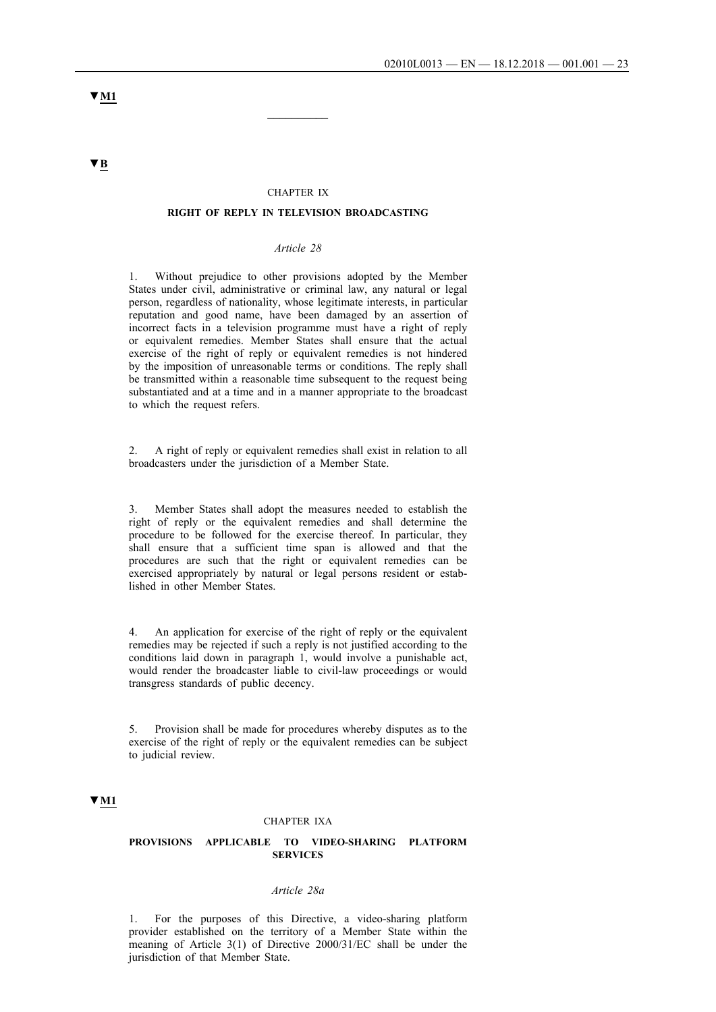#### CHAPTER IX

 $\frac{1}{2}$ 

#### **RIGHT OF REPLY IN TELEVISION BROADCASTING**

#### *Article 28*

1. Without prejudice to other provisions adopted by the Member States under civil, administrative or criminal law, any natural or legal person, regardless of nationality, whose legitimate interests, in particular reputation and good name, have been damaged by an assertion of incorrect facts in a television programme must have a right of reply or equivalent remedies. Member States shall ensure that the actual exercise of the right of reply or equivalent remedies is not hindered by the imposition of unreasonable terms or conditions. The reply shall be transmitted within a reasonable time subsequent to the request being substantiated and at a time and in a manner appropriate to the broadcast to which the request refers.

2. A right of reply or equivalent remedies shall exist in relation to all broadcasters under the jurisdiction of a Member State.

3. Member States shall adopt the measures needed to establish the right of reply or the equivalent remedies and shall determine the procedure to be followed for the exercise thereof. In particular, they shall ensure that a sufficient time span is allowed and that the procedures are such that the right or equivalent remedies can be exercised appropriately by natural or legal persons resident or established in other Member States.

4. An application for exercise of the right of reply or the equivalent remedies may be rejected if such a reply is not justified according to the conditions laid down in paragraph 1, would involve a punishable act, would render the broadcaster liable to civil-law proceedings or would transgress standards of public decency.

5. Provision shall be made for procedures whereby disputes as to the exercise of the right of reply or the equivalent remedies can be subject to judicial review.

### **▼M1**

#### CHAPTER IXA

#### **PROVISIONS APPLICABLE TO VIDEO-SHARING PLATFORM SERVICES**

#### *Article 28a*

1. For the purposes of this Directive, a video-sharing platform provider established on the territory of a Member State within the meaning of Article 3(1) of Directive 2000/31/EC shall be under the jurisdiction of that Member State.

# **▼M1**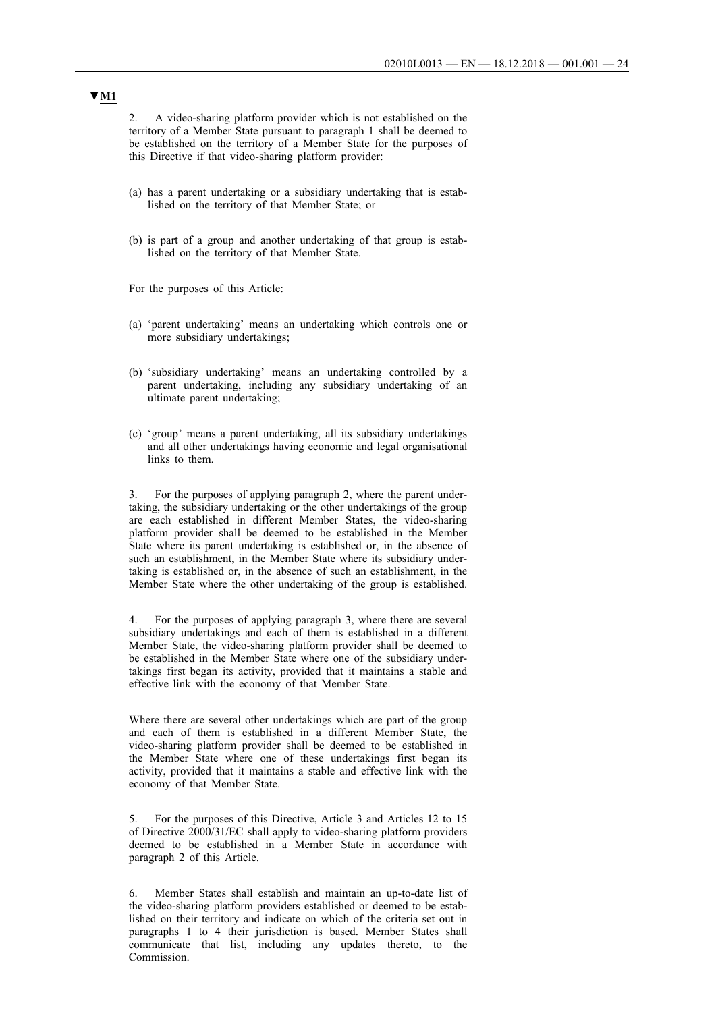2. A video-sharing platform provider which is not established on the territory of a Member State pursuant to paragraph 1 shall be deemed to be established on the territory of a Member State for the purposes of this Directive if that video-sharing platform provider:

- (a) has a parent undertaking or a subsidiary undertaking that is established on the territory of that Member State; or
- (b) is part of a group and another undertaking of that group is established on the territory of that Member State.

For the purposes of this Article:

- (a) 'parent undertaking' means an undertaking which controls one or more subsidiary undertakings;
- (b) 'subsidiary undertaking' means an undertaking controlled by a parent undertaking, including any subsidiary undertaking of an ultimate parent undertaking;
- (c) 'group' means a parent undertaking, all its subsidiary undertakings and all other undertakings having economic and legal organisational links to them.

3. For the purposes of applying paragraph 2, where the parent undertaking, the subsidiary undertaking or the other undertakings of the group are each established in different Member States, the video-sharing platform provider shall be deemed to be established in the Member State where its parent undertaking is established or, in the absence of such an establishment, in the Member State where its subsidiary undertaking is established or, in the absence of such an establishment, in the Member State where the other undertaking of the group is established.

4. For the purposes of applying paragraph 3, where there are several subsidiary undertakings and each of them is established in a different Member State, the video-sharing platform provider shall be deemed to be established in the Member State where one of the subsidiary undertakings first began its activity, provided that it maintains a stable and effective link with the economy of that Member State.

Where there are several other undertakings which are part of the group and each of them is established in a different Member State, the video-sharing platform provider shall be deemed to be established in the Member State where one of these undertakings first began its activity, provided that it maintains a stable and effective link with the economy of that Member State.

5. For the purposes of this Directive, Article 3 and Articles 12 to 15 of Directive 2000/31/EC shall apply to video-sharing platform providers deemed to be established in a Member State in accordance with paragraph 2 of this Article.

6. Member States shall establish and maintain an up-to-date list of the video-sharing platform providers established or deemed to be established on their territory and indicate on which of the criteria set out in paragraphs 1 to 4 their jurisdiction is based. Member States shall communicate that list, including any updates thereto, to the Commission.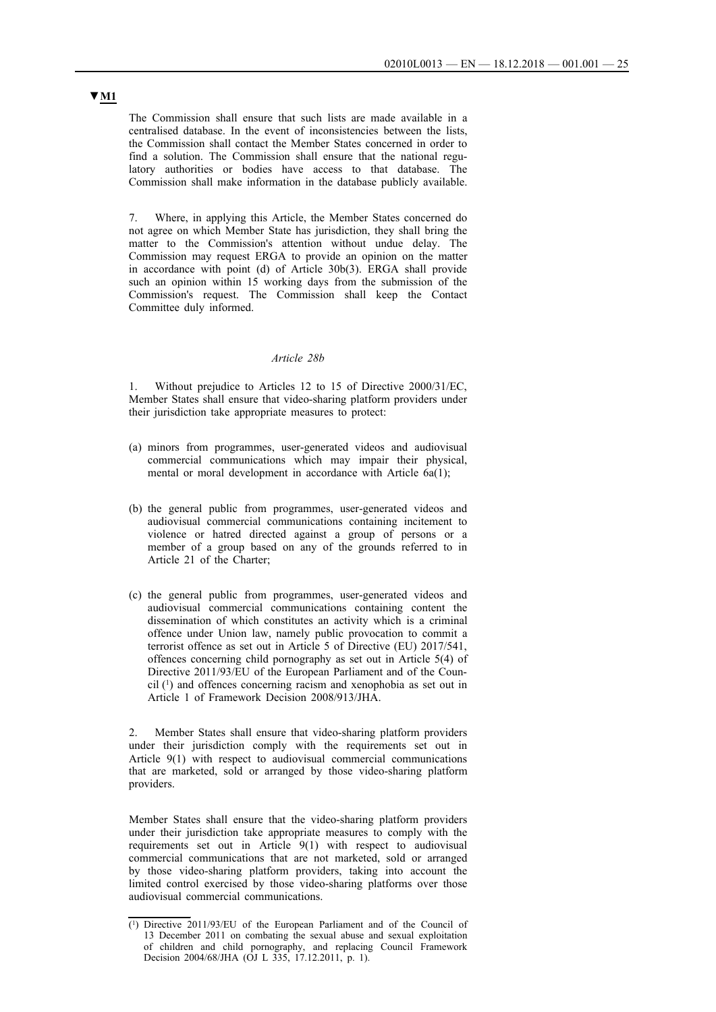The Commission shall ensure that such lists are made available in a centralised database. In the event of inconsistencies between the lists, the Commission shall contact the Member States concerned in order to find a solution. The Commission shall ensure that the national regulatory authorities or bodies have access to that database. The Commission shall make information in the database publicly available.

7. Where, in applying this Article, the Member States concerned do not agree on which Member State has jurisdiction, they shall bring the matter to the Commission's attention without undue delay. The Commission may request ERGA to provide an opinion on the matter in accordance with point (d) of Article 30b(3). ERGA shall provide such an opinion within 15 working days from the submission of the Commission's request. The Commission shall keep the Contact Committee duly informed.

#### *Article 28b*

1. Without prejudice to Articles 12 to 15 of Directive 2000/31/EC, Member States shall ensure that video-sharing platform providers under their jurisdiction take appropriate measures to protect:

- (a) minors from programmes, user-generated videos and audiovisual commercial communications which may impair their physical, mental or moral development in accordance with Article 6a(1);
- (b) the general public from programmes, user-generated videos and audiovisual commercial communications containing incitement to violence or hatred directed against a group of persons or a member of a group based on any of the grounds referred to in Article 21 of the Charter;
- (c) the general public from programmes, user-generated videos and audiovisual commercial communications containing content the dissemination of which constitutes an activity which is a criminal offence under Union law, namely public provocation to commit a terrorist offence as set out in Article 5 of Directive (EU) 2017/541, offences concerning child pornography as set out in Article 5(4) of Directive 2011/93/EU of the European Parliament and of the Council (1) and offences concerning racism and xenophobia as set out in Article 1 of Framework Decision 2008/913/JHA.

2. Member States shall ensure that video-sharing platform providers under their jurisdiction comply with the requirements set out in Article 9(1) with respect to audiovisual commercial communications that are marketed, sold or arranged by those video-sharing platform providers.

Member States shall ensure that the video-sharing platform providers under their jurisdiction take appropriate measures to comply with the requirements set out in Article 9(1) with respect to audiovisual commercial communications that are not marketed, sold or arranged by those video-sharing platform providers, taking into account the limited control exercised by those video-sharing platforms over those audiovisual commercial communications.

<sup>(1)</sup> Directive 2011/93/EU of the European Parliament and of the Council of 13 December 2011 on combating the sexual abuse and sexual exploitation of children and child pornography, and replacing Council Framework Decision 2004/68/JHA (OJ L 335, 17.12.2011, p. 1).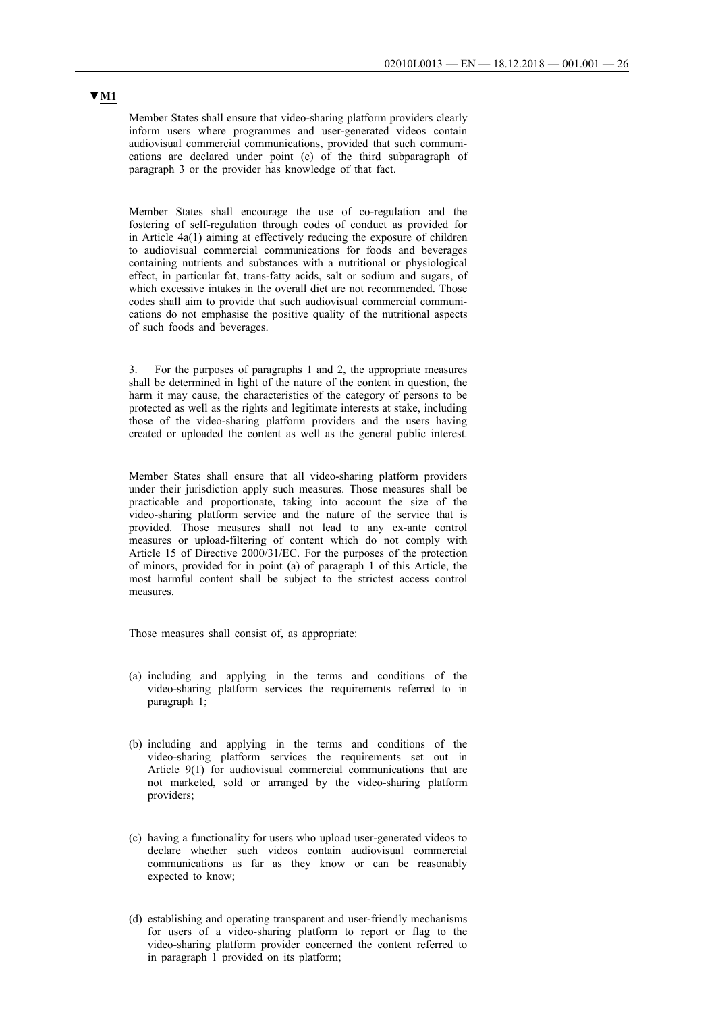Member States shall ensure that video-sharing platform providers clearly inform users where programmes and user-generated videos contain audiovisual commercial communications, provided that such communications are declared under point (c) of the third subparagraph of paragraph 3 or the provider has knowledge of that fact.

Member States shall encourage the use of co-regulation and the fostering of self-regulation through codes of conduct as provided for in Article 4a(1) aiming at effectively reducing the exposure of children to audiovisual commercial communications for foods and beverages containing nutrients and substances with a nutritional or physiological effect, in particular fat, trans-fatty acids, salt or sodium and sugars, of which excessive intakes in the overall diet are not recommended. Those codes shall aim to provide that such audiovisual commercial communications do not emphasise the positive quality of the nutritional aspects of such foods and beverages.

3. For the purposes of paragraphs 1 and 2, the appropriate measures shall be determined in light of the nature of the content in question, the harm it may cause, the characteristics of the category of persons to be protected as well as the rights and legitimate interests at stake, including those of the video-sharing platform providers and the users having created or uploaded the content as well as the general public interest.

Member States shall ensure that all video-sharing platform providers under their jurisdiction apply such measures. Those measures shall be practicable and proportionate, taking into account the size of the video-sharing platform service and the nature of the service that is provided. Those measures shall not lead to any ex-ante control measures or upload-filtering of content which do not comply with Article 15 of Directive 2000/31/EC. For the purposes of the protection of minors, provided for in point (a) of paragraph 1 of this Article, the most harmful content shall be subject to the strictest access control measures.

Those measures shall consist of, as appropriate:

- (a) including and applying in the terms and conditions of the video-sharing platform services the requirements referred to in paragraph 1;
- (b) including and applying in the terms and conditions of the video-sharing platform services the requirements set out in Article 9(1) for audiovisual commercial communications that are not marketed, sold or arranged by the video-sharing platform providers;
- (c) having a functionality for users who upload user-generated videos to declare whether such videos contain audiovisual commercial communications as far as they know or can be reasonably expected to know;
- (d) establishing and operating transparent and user-friendly mechanisms for users of a video-sharing platform to report or flag to the video-sharing platform provider concerned the content referred to in paragraph 1 provided on its platform;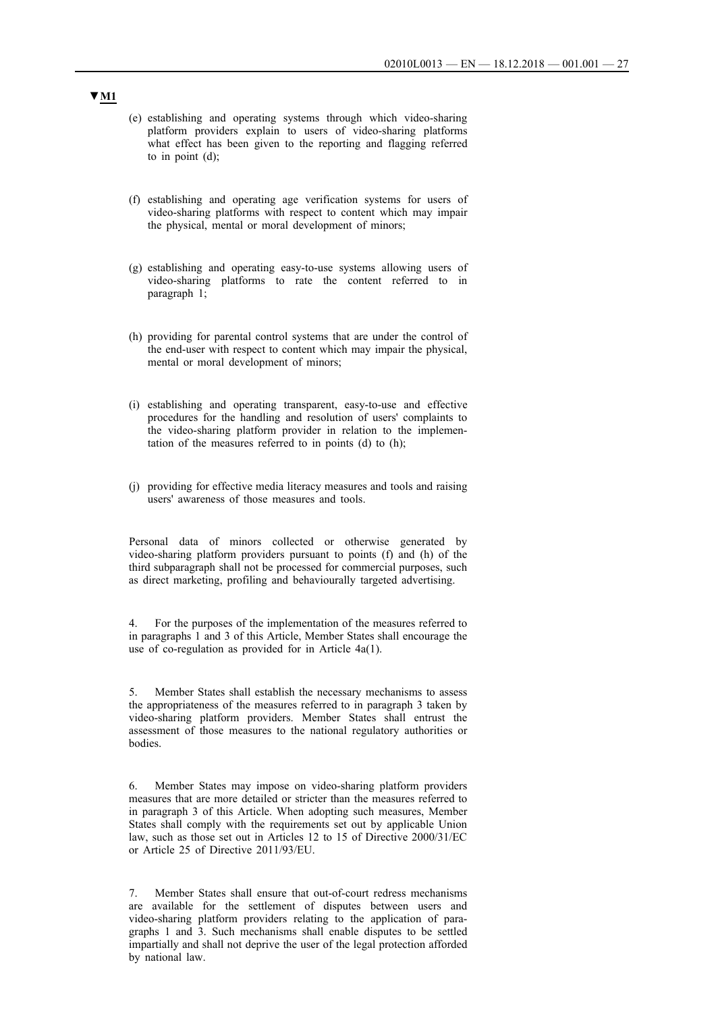- (e) establishing and operating systems through which video-sharing platform providers explain to users of video-sharing platforms what effect has been given to the reporting and flagging referred to in point (d);
- (f) establishing and operating age verification systems for users of video-sharing platforms with respect to content which may impair the physical, mental or moral development of minors;
- (g) establishing and operating easy-to-use systems allowing users of video-sharing platforms to rate the content referred to in paragraph 1;
- (h) providing for parental control systems that are under the control of the end-user with respect to content which may impair the physical, mental or moral development of minors;
- (i) establishing and operating transparent, easy-to-use and effective procedures for the handling and resolution of users' complaints to the video-sharing platform provider in relation to the implementation of the measures referred to in points (d) to (h);
- (j) providing for effective media literacy measures and tools and raising users' awareness of those measures and tools.

Personal data of minors collected or otherwise generated by video-sharing platform providers pursuant to points (f) and (h) of the third subparagraph shall not be processed for commercial purposes, such as direct marketing, profiling and behaviourally targeted advertising.

4. For the purposes of the implementation of the measures referred to in paragraphs 1 and 3 of this Article, Member States shall encourage the use of co-regulation as provided for in Article 4a(1).

5. Member States shall establish the necessary mechanisms to assess the appropriateness of the measures referred to in paragraph 3 taken by video-sharing platform providers. Member States shall entrust the assessment of those measures to the national regulatory authorities or bodies.

6. Member States may impose on video-sharing platform providers measures that are more detailed or stricter than the measures referred to in paragraph 3 of this Article. When adopting such measures, Member States shall comply with the requirements set out by applicable Union law, such as those set out in Articles 12 to 15 of Directive 2000/31/EC or Article 25 of Directive 2011/93/EU.

7. Member States shall ensure that out-of-court redress mechanisms are available for the settlement of disputes between users and video-sharing platform providers relating to the application of paragraphs 1 and 3. Such mechanisms shall enable disputes to be settled impartially and shall not deprive the user of the legal protection afforded by national law.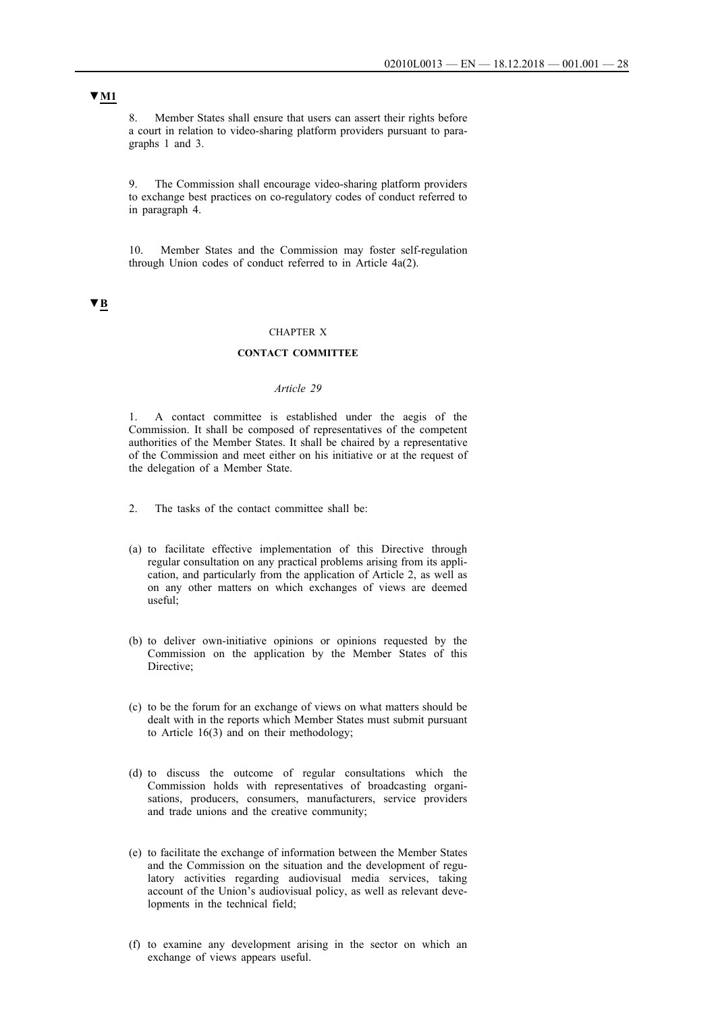8. Member States shall ensure that users can assert their rights before a court in relation to video-sharing platform providers pursuant to paragraphs 1 and 3.

9. The Commission shall encourage video-sharing platform providers to exchange best practices on co-regulatory codes of conduct referred to in paragraph 4.

10. Member States and the Commission may foster self-regulation through Union codes of conduct referred to in Article 4a(2).

# **▼B**

#### CHAPTER X

## **CONTACT COMMITTEE**

## *Article 29*

1. A contact committee is established under the aegis of the Commission. It shall be composed of representatives of the competent authorities of the Member States. It shall be chaired by a representative of the Commission and meet either on his initiative or at the request of the delegation of a Member State.

- 2. The tasks of the contact committee shall be:
- (a) to facilitate effective implementation of this Directive through regular consultation on any practical problems arising from its application, and particularly from the application of Article 2, as well as on any other matters on which exchanges of views are deemed useful;
- (b) to deliver own-initiative opinions or opinions requested by the Commission on the application by the Member States of this Directive;
- (c) to be the forum for an exchange of views on what matters should be dealt with in the reports which Member States must submit pursuant to Article 16(3) and on their methodology;
- (d) to discuss the outcome of regular consultations which the Commission holds with representatives of broadcasting organisations, producers, consumers, manufacturers, service providers and trade unions and the creative community;
- (e) to facilitate the exchange of information between the Member States and the Commission on the situation and the development of regulatory activities regarding audiovisual media services, taking account of the Union's audiovisual policy, as well as relevant developments in the technical field;
- (f) to examine any development arising in the sector on which an exchange of views appears useful.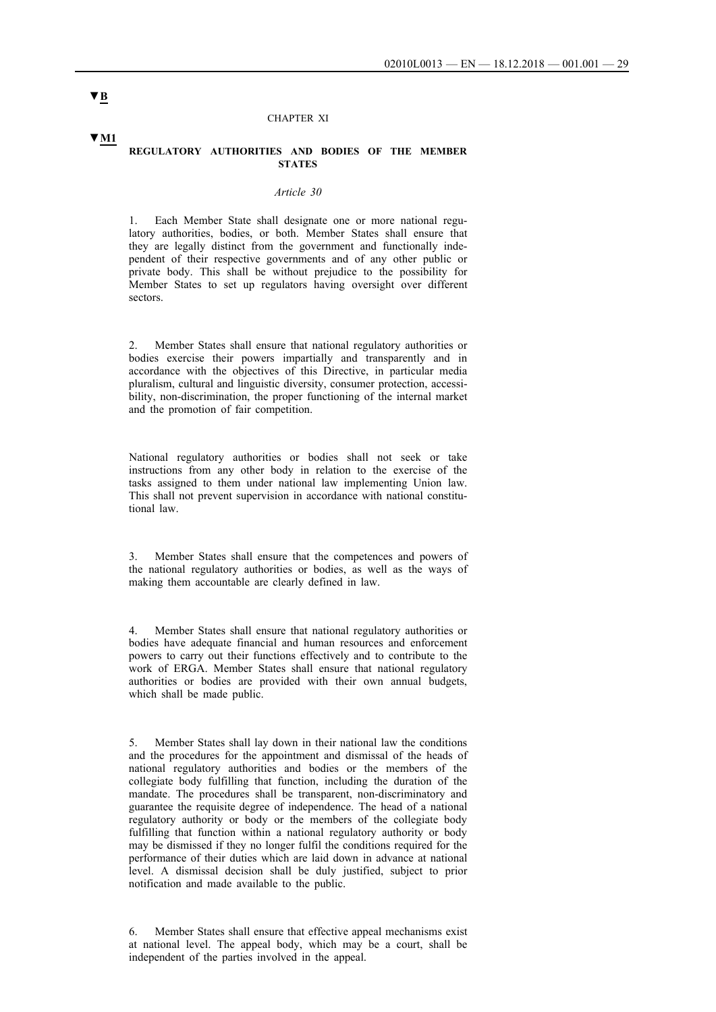#### CHAPTER XI

#### **▼M1 REGULATORY AUTHORITIES AND BODIES OF THE MEMBER STATES**

### *Article 30*

1. Each Member State shall designate one or more national regulatory authorities, bodies, or both. Member States shall ensure that they are legally distinct from the government and functionally independent of their respective governments and of any other public or private body. This shall be without prejudice to the possibility for Member States to set up regulators having oversight over different sectors.

2. Member States shall ensure that national regulatory authorities or bodies exercise their powers impartially and transparently and in accordance with the objectives of this Directive, in particular media pluralism, cultural and linguistic diversity, consumer protection, accessibility, non-discrimination, the proper functioning of the internal market and the promotion of fair competition.

National regulatory authorities or bodies shall not seek or take instructions from any other body in relation to the exercise of the tasks assigned to them under national law implementing Union law. This shall not prevent supervision in accordance with national constitutional law.

Member States shall ensure that the competences and powers of the national regulatory authorities or bodies, as well as the ways of making them accountable are clearly defined in law.

4. Member States shall ensure that national regulatory authorities or bodies have adequate financial and human resources and enforcement powers to carry out their functions effectively and to contribute to the work of ERGA. Member States shall ensure that national regulatory authorities or bodies are provided with their own annual budgets, which shall be made public.

5. Member States shall lay down in their national law the conditions and the procedures for the appointment and dismissal of the heads of national regulatory authorities and bodies or the members of the collegiate body fulfilling that function, including the duration of the mandate. The procedures shall be transparent, non-discriminatory and guarantee the requisite degree of independence. The head of a national regulatory authority or body or the members of the collegiate body fulfilling that function within a national regulatory authority or body may be dismissed if they no longer fulfil the conditions required for the performance of their duties which are laid down in advance at national level. A dismissal decision shall be duly justified, subject to prior notification and made available to the public.

6. Member States shall ensure that effective appeal mechanisms exist at national level. The appeal body, which may be a court, shall be independent of the parties involved in the appeal.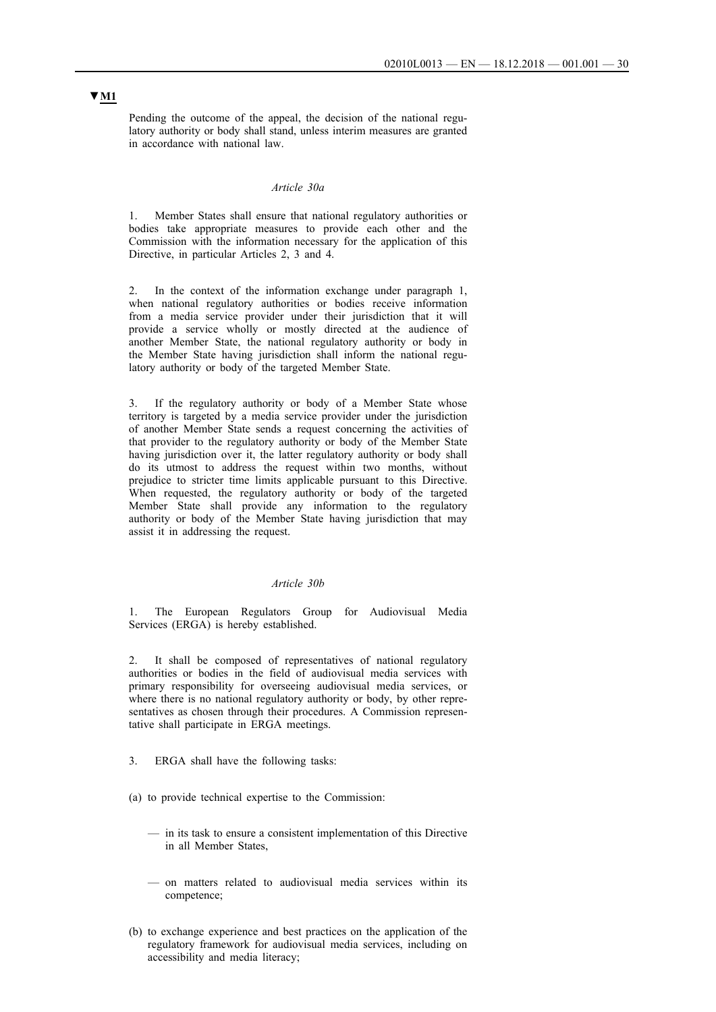Pending the outcome of the appeal, the decision of the national regulatory authority or body shall stand, unless interim measures are granted in accordance with national law.

#### *Article 30a*

1. Member States shall ensure that national regulatory authorities or bodies take appropriate measures to provide each other and the Commission with the information necessary for the application of this Directive, in particular Articles 2, 3 and 4.

2. In the context of the information exchange under paragraph 1, when national regulatory authorities or bodies receive information from a media service provider under their jurisdiction that it will provide a service wholly or mostly directed at the audience of another Member State, the national regulatory authority or body in the Member State having jurisdiction shall inform the national regulatory authority or body of the targeted Member State.

If the regulatory authority or body of a Member State whose territory is targeted by a media service provider under the jurisdiction of another Member State sends a request concerning the activities of that provider to the regulatory authority or body of the Member State having jurisdiction over it, the latter regulatory authority or body shall do its utmost to address the request within two months, without prejudice to stricter time limits applicable pursuant to this Directive. When requested, the regulatory authority or body of the targeted Member State shall provide any information to the regulatory authority or body of the Member State having jurisdiction that may assist it in addressing the request.

#### *Article 30b*

The European Regulators Group for Audiovisual Media Services (ERGA) is hereby established.

2. It shall be composed of representatives of national regulatory authorities or bodies in the field of audiovisual media services with primary responsibility for overseeing audiovisual media services, or where there is no national regulatory authority or body, by other representatives as chosen through their procedures. A Commission representative shall participate in ERGA meetings.

- 3. ERGA shall have the following tasks:
- (a) to provide technical expertise to the Commission:
	- in its task to ensure a consistent implementation of this Directive in all Member States,
	- on matters related to audiovisual media services within its competence;
- (b) to exchange experience and best practices on the application of the regulatory framework for audiovisual media services, including on accessibility and media literacy;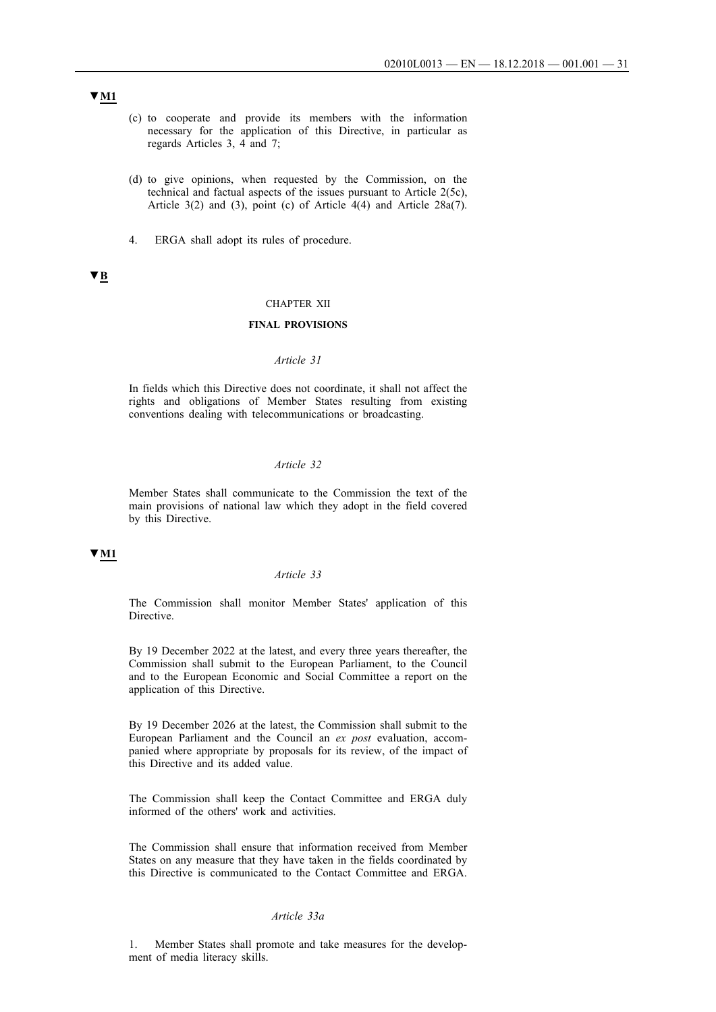- (c) to cooperate and provide its members with the information necessary for the application of this Directive, in particular as regards Articles 3, 4 and 7;
- (d) to give opinions, when requested by the Commission, on the technical and factual aspects of the issues pursuant to Article 2(5c), Article 3(2) and (3), point (c) of Article 4(4) and Article 28a(7).
- 4. ERGA shall adopt its rules of procedure.

#### **▼B**

#### CHAPTER XII

## **FINAL PROVISIONS**

#### *Article 31*

In fields which this Directive does not coordinate, it shall not affect the rights and obligations of Member States resulting from existing conventions dealing with telecommunications or broadcasting.

#### *Article 32*

Member States shall communicate to the Commission the text of the main provisions of national law which they adopt in the field covered by this Directive.

# **▼M1**

## *Article 33*

The Commission shall monitor Member States' application of this **Directive** 

By 19 December 2022 at the latest, and every three years thereafter, the Commission shall submit to the European Parliament, to the Council and to the European Economic and Social Committee a report on the application of this Directive.

By 19 December 2026 at the latest, the Commission shall submit to the European Parliament and the Council an *ex post* evaluation, accompanied where appropriate by proposals for its review, of the impact of this Directive and its added value.

The Commission shall keep the Contact Committee and ERGA duly informed of the others' work and activities.

The Commission shall ensure that information received from Member States on any measure that they have taken in the fields coordinated by this Directive is communicated to the Contact Committee and ERGA.

## *Article 33a*

1. Member States shall promote and take measures for the development of media literacy skills.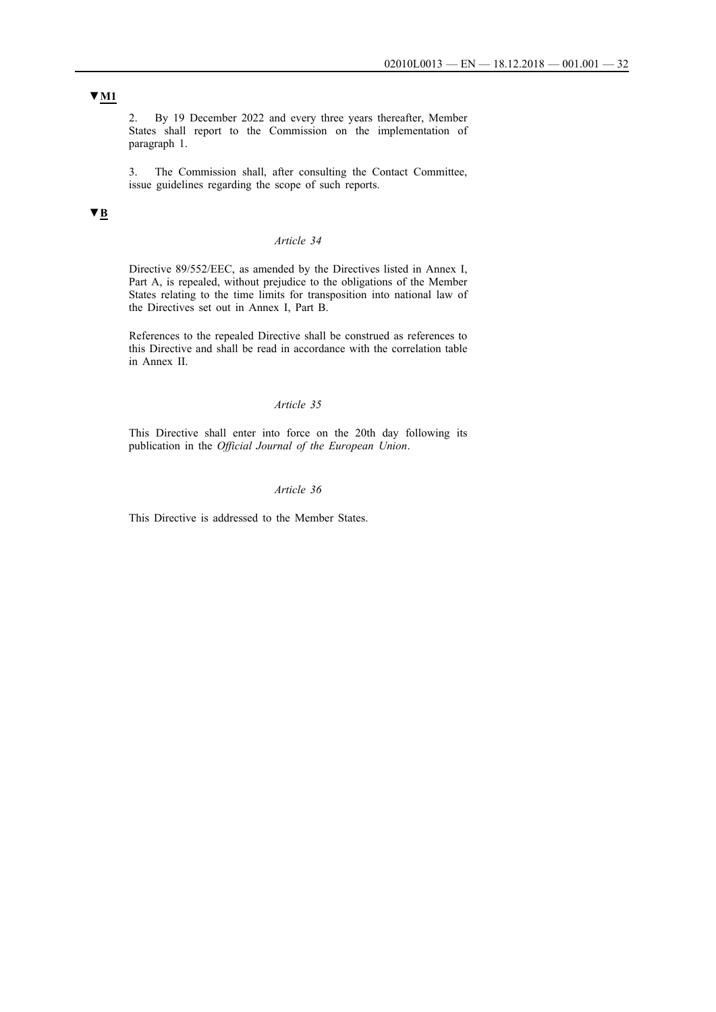2. By 19 December 2022 and every three years thereafter, Member States shall report to the Commission on the implementation of paragraph 1.

3. The Commission shall, after consulting the Contact Committee, issue guidelines regarding the scope of such reports.

# **▼B**

### *Article 34*

Directive 89/552/EEC, as amended by the Directives listed in Annex I, Part A, is repealed, without prejudice to the obligations of the Member States relating to the time limits for transposition into national law of the Directives set out in Annex I, Part B.

References to the repealed Directive shall be construed as references to this Directive and shall be read in accordance with the correlation table in Annex II.

## *Article 35*

This Directive shall enter into force on the 20th day following its publication in the *Official Journal of the European Union*.

### *Article 36*

This Directive is addressed to the Member States.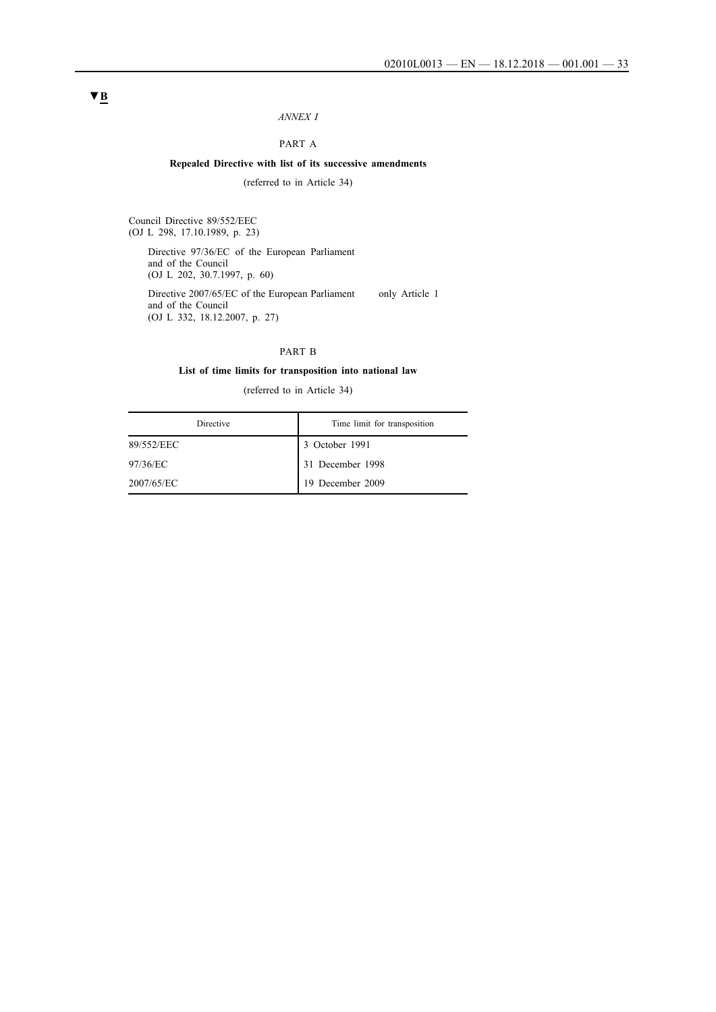## *ANNEX I*

#### PART A

# **Repealed Directive with list of its successive amendments**

(referred to in Article 34)

Council Directive 89/552/EEC (OJ L 298, 17.10.1989, p. 23)

> Directive 97/36/EC of the European Parliament and of the Council (OJ L 202, 30.7.1997, p. 60)

Directive 2007/65/EC of the European Parliament and of the Council (OJ L 332, 18.12.2007, p. 27) only Article 1

#### PART B

#### **List of time limits for transposition into national law**

(referred to in Article 34)

| Directive  | Time limit for transposition |
|------------|------------------------------|
| 89/552/EEC | 3 October 1991               |
| 97/36/EC   | 31 December 1998             |
| 2007/65/EC | 19 December 2009             |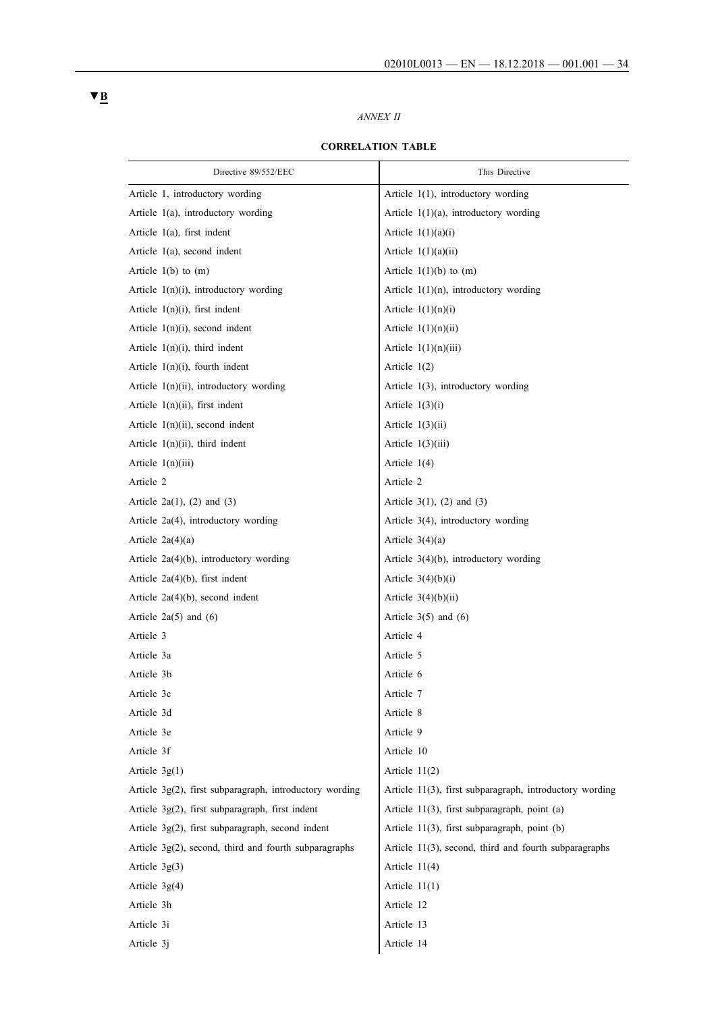# *ANNEX II*

# **CORRELATION TABLE**

| Directive 89/552/EEC                                       | This Directive                                           |
|------------------------------------------------------------|----------------------------------------------------------|
| Article 1, introductory wording                            | Article 1(1), introductory wording                       |
| Article $1(a)$ , introductory wording                      | Article $1(1)(a)$ , introductory wording                 |
| Article $1(a)$ , first indent                              | Article $1(1)(a)(i)$                                     |
| Article 1(a), second indent                                | Article $1(1)(a)(ii)$                                    |
| Article $1(b)$ to $(m)$                                    | Article $1(1)(b)$ to $(m)$                               |
| Article $1(n)(i)$ , introductory wording                   | Article $1(1)(n)$ , introductory wording                 |
| Article $1(n)(i)$ , first indent                           | Article $1(1)(n)(i)$                                     |
| Article $1(n)(i)$ , second indent                          | Article $1(1)(n)(ii)$                                    |
| Article $1(n)(i)$ , third indent                           | Article $1(1)(n)(iii)$                                   |
| Article $1(n)(i)$ , fourth indent                          | Article $1(2)$                                           |
| Article $1(n)(ii)$ , introductory wording                  | Article $1(3)$ , introductory wording                    |
| Article $1(n)(ii)$ , first indent                          | Article $1(3)(i)$                                        |
| Article $1(n)(ii)$ , second indent                         | Article $1(3)(ii)$                                       |
| Article $1(n)(ii)$ , third indent                          | Article $1(3)(iii)$                                      |
| Article $1(n)(iii)$                                        | Article $1(4)$                                           |
| Article 2                                                  | Article 2                                                |
| Article 2a(1), (2) and (3)                                 | Article $3(1)$ , $(2)$ and $(3)$                         |
| Article $2a(4)$ , introductory wording                     | Article $3(4)$ , introductory wording                    |
| Article $2a(4)(a)$                                         | Article $3(4)(a)$                                        |
| Article $2a(4)(b)$ , introductory wording                  | Article $3(4)(b)$ , introductory wording                 |
| Article $2a(4)(b)$ , first indent                          | Article $3(4)(b)(i)$                                     |
| Article $2a(4)(b)$ , second indent                         | Article $3(4)(b)(ii)$                                    |
| Article $2a(5)$ and $(6)$                                  | Article $3(5)$ and $(6)$                                 |
| Article 3                                                  | Article 4                                                |
| Article 3a                                                 | Article 5                                                |
| Article 3b                                                 | Article 6                                                |
| Article 3c                                                 | Article 7                                                |
| Article 3d                                                 | Article 8                                                |
| Article 3e                                                 | Article 9                                                |
| Article 3f                                                 | Article 10                                               |
| Article $3g(1)$                                            | Article $11(2)$                                          |
| Article $3g(2)$ , first subparagraph, introductory wording | Article 11(3), first subparagraph, introductory wording  |
| Article 3g(2), first subparagraph, first indent            | Article 11(3), first subparagraph, point (a)             |
| Article $3g(2)$ , first subparagraph, second indent        | Article 11(3), first subparagraph, point (b)             |
| Article $3g(2)$ , second, third and fourth subparagraphs   | Article $11(3)$ , second, third and fourth subparagraphs |
| Article $3g(3)$                                            | Article $11(4)$                                          |
| Article $3g(4)$                                            | Article $11(1)$                                          |
| Article 3h                                                 | Article 12                                               |
| Article 3i                                                 | Article 13                                               |
| Article 3j                                                 | Article 14                                               |